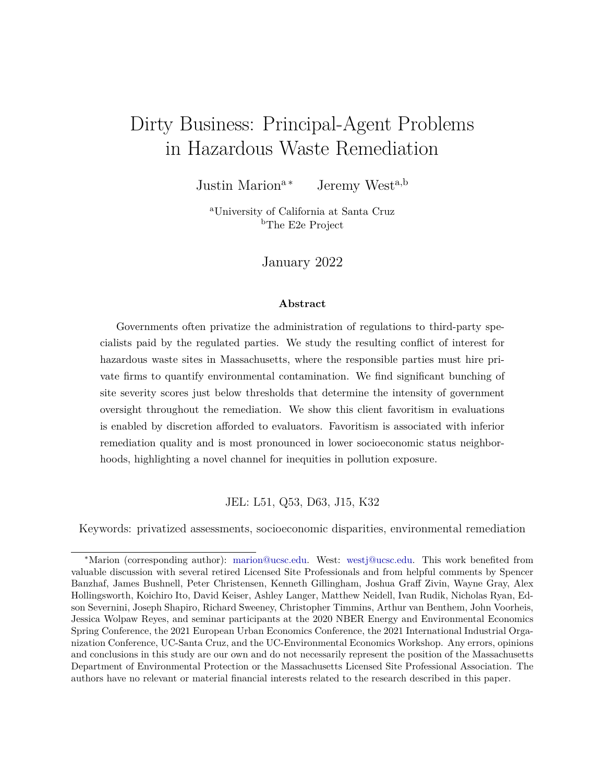# Dirty Business: Principal-Agent Problems in Hazardous Waste Remediation

Justin Marion<sup>a</sup><sup>\*</sup> Jeremy West<sup>a,b</sup>

<sup>a</sup>University of California at Santa Cruz <sup>b</sup>The E2e Project

January 2022

#### **Abstract**

Governments often privatize the administration of regulations to third-party specialists paid by the regulated parties. We study the resulting conflict of interest for hazardous waste sites in Massachusetts, where the responsible parties must hire private firms to quantify environmental contamination. We find significant bunching of site severity scores just below thresholds that determine the intensity of government oversight throughout the remediation. We show this client favoritism in evaluations is enabled by discretion afforded to evaluators. Favoritism is associated with inferior remediation quality and is most pronounced in lower socioeconomic status neighborhoods, highlighting a novel channel for inequities in pollution exposure.

JEL: L51, Q53, D63, J15, K32

Keywords: privatized assessments, socioeconomic disparities, environmental remediation

<sup>∗</sup>Marion (corresponding author): [marion@ucsc.edu.](mailto:marion@ucsc.edu) West: [westj@ucsc.edu.](mailto:westj@ucsc.edu) This work benefited from valuable discussion with several retired Licensed Site Professionals and from helpful comments by Spencer Banzhaf, James Bushnell, Peter Christensen, Kenneth Gillingham, Joshua Graff Zivin, Wayne Gray, Alex Hollingsworth, Koichiro Ito, David Keiser, Ashley Langer, Matthew Neidell, Ivan Rudik, Nicholas Ryan, Edson Severnini, Joseph Shapiro, Richard Sweeney, Christopher Timmins, Arthur van Benthem, John Voorheis, Jessica Wolpaw Reyes, and seminar participants at the 2020 NBER Energy and Environmental Economics Spring Conference, the 2021 European Urban Economics Conference, the 2021 International Industrial Organization Conference, UC-Santa Cruz, and the UC-Environmental Economics Workshop. Any errors, opinions and conclusions in this study are our own and do not necessarily represent the position of the Massachusetts Department of Environmental Protection or the Massachusetts Licensed Site Professional Association. The authors have no relevant or material financial interests related to the research described in this paper.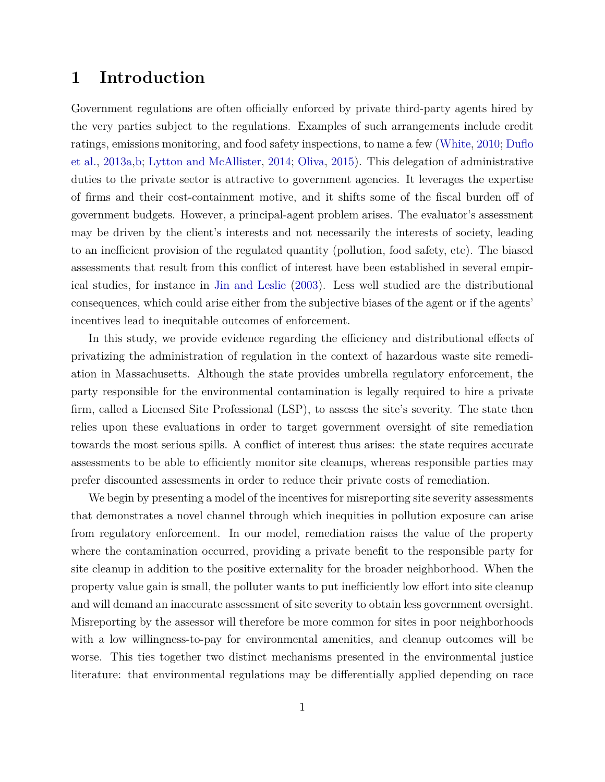### **1 Introduction**

Government regulations are often officially enforced by private third-party agents hired by the very parties subject to the regulations. Examples of such arrangements include credit ratings, emissions monitoring, and food safety inspections, to name a few [\(White,](#page-23-0) [2010;](#page-23-0) [Duflo](#page-21-0) [et al.,](#page-21-0) [2013a,](#page-21-0)[b;](#page-21-1) [Lytton and McAllister,](#page-22-0) [2014;](#page-22-0) [Oliva,](#page-22-1) [2015\)](#page-22-1). This delegation of administrative duties to the private sector is attractive to government agencies. It leverages the expertise of firms and their cost-containment motive, and it shifts some of the fiscal burden off of government budgets. However, a principal-agent problem arises. The evaluator's assessment may be driven by the client's interests and not necessarily the interests of society, leading to an inefficient provision of the regulated quantity (pollution, food safety, etc). The biased assessments that result from this conflict of interest have been established in several empirical studies, for instance in [Jin and Leslie](#page-22-2) [\(2003\)](#page-22-2). Less well studied are the distributional consequences, which could arise either from the subjective biases of the agent or if the agents' incentives lead to inequitable outcomes of enforcement.

In this study, we provide evidence regarding the efficiency and distributional effects of privatizing the administration of regulation in the context of hazardous waste site remediation in Massachusetts. Although the state provides umbrella regulatory enforcement, the party responsible for the environmental contamination is legally required to hire a private firm, called a Licensed Site Professional (LSP), to assess the site's severity. The state then relies upon these evaluations in order to target government oversight of site remediation towards the most serious spills. A conflict of interest thus arises: the state requires accurate assessments to be able to efficiently monitor site cleanups, whereas responsible parties may prefer discounted assessments in order to reduce their private costs of remediation.

We begin by presenting a model of the incentives for misreporting site severity assessments that demonstrates a novel channel through which inequities in pollution exposure can arise from regulatory enforcement. In our model, remediation raises the value of the property where the contamination occurred, providing a private benefit to the responsible party for site cleanup in addition to the positive externality for the broader neighborhood. When the property value gain is small, the polluter wants to put inefficiently low effort into site cleanup and will demand an inaccurate assessment of site severity to obtain less government oversight. Misreporting by the assessor will therefore be more common for sites in poor neighborhoods with a low willingness-to-pay for environmental amenities, and cleanup outcomes will be worse. This ties together two distinct mechanisms presented in the environmental justice literature: that environmental regulations may be differentially applied depending on race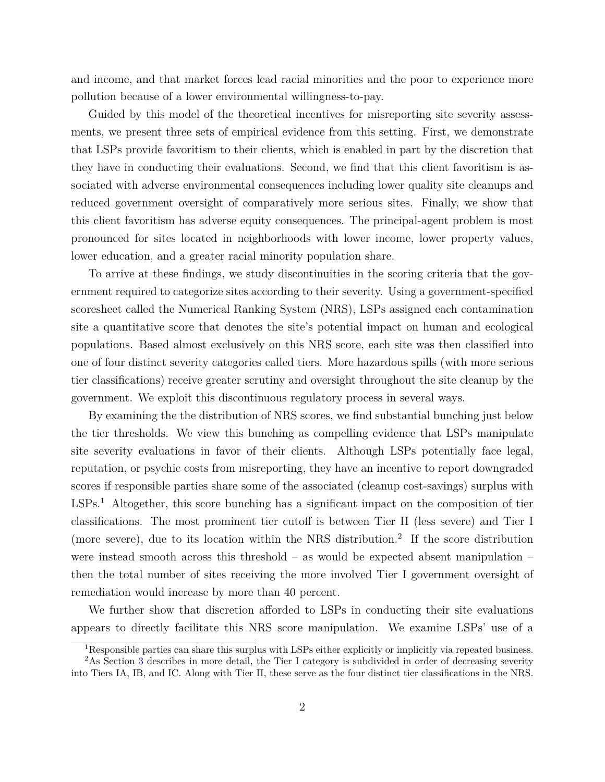and income, and that market forces lead racial minorities and the poor to experience more pollution because of a lower environmental willingness-to-pay.

Guided by this model of the theoretical incentives for misreporting site severity assessments, we present three sets of empirical evidence from this setting. First, we demonstrate that LSPs provide favoritism to their clients, which is enabled in part by the discretion that they have in conducting their evaluations. Second, we find that this client favoritism is associated with adverse environmental consequences including lower quality site cleanups and reduced government oversight of comparatively more serious sites. Finally, we show that this client favoritism has adverse equity consequences. The principal-agent problem is most pronounced for sites located in neighborhoods with lower income, lower property values, lower education, and a greater racial minority population share.

To arrive at these findings, we study discontinuities in the scoring criteria that the government required to categorize sites according to their severity. Using a government-specified scoresheet called the Numerical Ranking System (NRS), LSPs assigned each contamination site a quantitative score that denotes the site's potential impact on human and ecological populations. Based almost exclusively on this NRS score, each site was then classified into one of four distinct severity categories called tiers. More hazardous spills (with more serious tier classifications) receive greater scrutiny and oversight throughout the site cleanup by the government. We exploit this discontinuous regulatory process in several ways.

By examining the the distribution of NRS scores, we find substantial bunching just below the tier thresholds. We view this bunching as compelling evidence that LSPs manipulate site severity evaluations in favor of their clients. Although LSPs potentially face legal, reputation, or psychic costs from misreporting, they have an incentive to report downgraded scores if responsible parties share some of the associated (cleanup cost-savings) surplus with LSPs.<sup>1</sup> Altogether, this score bunching has a significant impact on the composition of tier classifications. The most prominent tier cutoff is between Tier II (less severe) and Tier I (more severe), due to its location within the NRS distribution.<sup>2</sup> If the score distribution were instead smooth across this threshold – as would be expected absent manipulation – then the total number of sites receiving the more involved Tier I government oversight of remediation would increase by more than 40 percent.

We further show that discretion afforded to LSPs in conducting their site evaluations appears to directly facilitate this NRS score manipulation. We examine LSPs' use of a

<sup>1</sup>Responsible parties can share this surplus with LSPs either explicitly or implicitly via repeated business.

<sup>&</sup>lt;sup>2</sup>As Section [3](#page-8-0) describes in more detail, the Tier I category is subdivided in order of decreasing severity into Tiers IA, IB, and IC. Along with Tier II, these serve as the four distinct tier classifications in the NRS.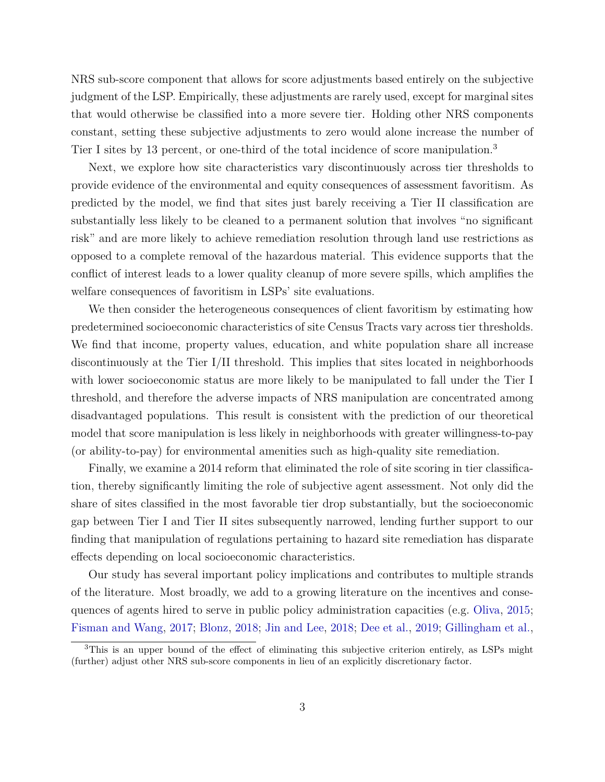NRS sub-score component that allows for score adjustments based entirely on the subjective judgment of the LSP. Empirically, these adjustments are rarely used, except for marginal sites that would otherwise be classified into a more severe tier. Holding other NRS components constant, setting these subjective adjustments to zero would alone increase the number of Tier I sites by 13 percent, or one-third of the total incidence of score manipulation.<sup>3</sup>

Next, we explore how site characteristics vary discontinuously across tier thresholds to provide evidence of the environmental and equity consequences of assessment favoritism. As predicted by the model, we find that sites just barely receiving a Tier II classification are substantially less likely to be cleaned to a permanent solution that involves "no significant risk" and are more likely to achieve remediation resolution through land use restrictions as opposed to a complete removal of the hazardous material. This evidence supports that the conflict of interest leads to a lower quality cleanup of more severe spills, which amplifies the welfare consequences of favoritism in LSPs' site evaluations.

We then consider the heterogeneous consequences of client favoritism by estimating how predetermined socioeconomic characteristics of site Census Tracts vary across tier thresholds. We find that income, property values, education, and white population share all increase discontinuously at the Tier I/II threshold. This implies that sites located in neighborhoods with lower socioeconomic status are more likely to be manipulated to fall under the Tier I threshold, and therefore the adverse impacts of NRS manipulation are concentrated among disadvantaged populations. This result is consistent with the prediction of our theoretical model that score manipulation is less likely in neighborhoods with greater willingness-to-pay (or ability-to-pay) for environmental amenities such as high-quality site remediation.

Finally, we examine a 2014 reform that eliminated the role of site scoring in tier classification, thereby significantly limiting the role of subjective agent assessment. Not only did the share of sites classified in the most favorable tier drop substantially, but the socioeconomic gap between Tier I and Tier II sites subsequently narrowed, lending further support to our finding that manipulation of regulations pertaining to hazard site remediation has disparate effects depending on local socioeconomic characteristics.

Our study has several important policy implications and contributes to multiple strands of the literature. Most broadly, we add to a growing literature on the incentives and consequences of agents hired to serve in public policy administration capacities (e.g. [Oliva,](#page-22-1) [2015;](#page-22-1) [Fisman and Wang,](#page-21-2) [2017;](#page-21-2) [Blonz,](#page-20-0) [2018;](#page-20-0) [Jin and Lee,](#page-22-3) [2018;](#page-22-3) [Dee et al.,](#page-21-3) [2019;](#page-21-3) [Gillingham et al.,](#page-21-4)

<sup>3</sup>This is an upper bound of the effect of eliminating this subjective criterion entirely, as LSPs might (further) adjust other NRS sub-score components in lieu of an explicitly discretionary factor.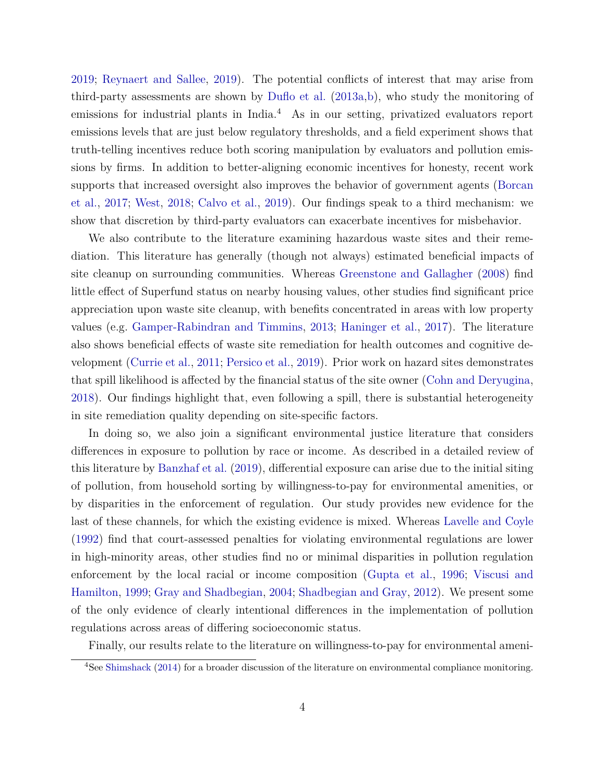[2019;](#page-21-4) [Reynaert and Sallee,](#page-22-4) [2019\)](#page-22-4). The potential conflicts of interest that may arise from third-party assessments are shown by [Duflo et al.](#page-21-0) [\(2013a,](#page-21-0)[b\)](#page-21-1), who study the monitoring of emissions for industrial plants in India.<sup>4</sup> As in our setting, privatized evaluators report emissions levels that are just below regulatory thresholds, and a field experiment shows that truth-telling incentives reduce both scoring manipulation by evaluators and pollution emissions by firms. In addition to better-aligning economic incentives for honesty, recent work supports that increased oversight also improves the behavior of government agents [\(Borcan](#page-20-1) [et al.,](#page-20-1) [2017;](#page-20-1) [West,](#page-23-1) [2018;](#page-23-1) [Calvo et al.,](#page-21-5) [2019\)](#page-21-5). Our findings speak to a third mechanism: we show that discretion by third-party evaluators can exacerbate incentives for misbehavior.

We also contribute to the literature examining hazardous waste sites and their remediation. This literature has generally (though not always) estimated beneficial impacts of site cleanup on surrounding communities. Whereas [Greenstone and Gallagher](#page-22-5) [\(2008\)](#page-22-5) find little effect of Superfund status on nearby housing values, other studies find significant price appreciation upon waste site cleanup, with benefits concentrated in areas with low property values (e.g. [Gamper-Rabindran and Timmins,](#page-21-6) [2013;](#page-21-6) [Haninger et al.,](#page-22-6) [2017\)](#page-22-6). The literature also shows beneficial effects of waste site remediation for health outcomes and cognitive development [\(Currie et al.,](#page-21-7) [2011;](#page-21-7) [Persico et al.,](#page-22-7) [2019\)](#page-22-7). Prior work on hazard sites demonstrates that spill likelihood is affected by the financial status of the site owner [\(Cohn and Deryugina,](#page-21-8) [2018\)](#page-21-8). Our findings highlight that, even following a spill, there is substantial heterogeneity in site remediation quality depending on site-specific factors.

In doing so, we also join a significant environmental justice literature that considers differences in exposure to pollution by race or income. As described in a detailed review of this literature by [Banzhaf et al.](#page-20-2) [\(2019\)](#page-20-2), differential exposure can arise due to the initial siting of pollution, from household sorting by willingness-to-pay for environmental amenities, or by disparities in the enforcement of regulation. Our study provides new evidence for the last of these channels, for which the existing evidence is mixed. Whereas [Lavelle and Coyle](#page-22-8) [\(1992\)](#page-22-8) find that court-assessed penalties for violating environmental regulations are lower in high-minority areas, other studies find no or minimal disparities in pollution regulation enforcement by the local racial or income composition [\(Gupta et al.,](#page-22-9) [1996;](#page-22-9) [Viscusi and](#page-23-2) [Hamilton,](#page-23-2) [1999;](#page-23-2) [Gray and Shadbegian,](#page-21-9) [2004;](#page-21-9) [Shadbegian and Gray,](#page-22-10) [2012\)](#page-22-10). We present some of the only evidence of clearly intentional differences in the implementation of pollution regulations across areas of differing socioeconomic status.

Finally, our results relate to the literature on willingness-to-pay for environmental ameni-

<sup>4</sup>See [Shimshack](#page-23-3) [\(2014\)](#page-23-3) for a broader discussion of the literature on environmental compliance monitoring.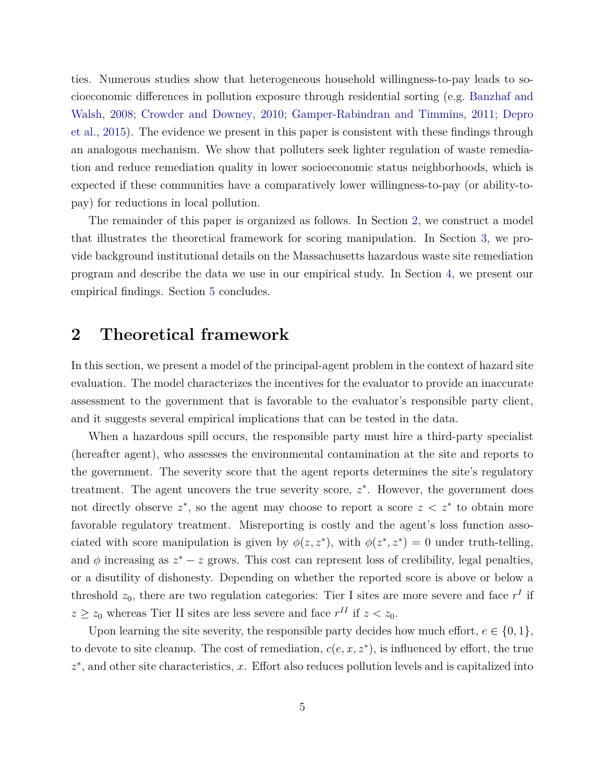ties. Numerous studies show that heterogeneous household willingness-to-pay leads to socioeconomic differences in pollution exposure through residential sorting (e.g. [Banzhaf and](#page-20-3) [Walsh,](#page-20-3) [2008;](#page-20-3) [Crowder and Downey,](#page-21-10) [2010;](#page-21-10) [Gamper-Rabindran and Timmins,](#page-21-11) [2011;](#page-21-11) [Depro](#page-21-12) [et al.,](#page-21-12) [2015\)](#page-21-12). The evidence we present in this paper is consistent with these findings through an analogous mechanism. We show that polluters seek lighter regulation of waste remediation and reduce remediation quality in lower socioeconomic status neighborhoods, which is expected if these communities have a comparatively lower willingness-to-pay (or ability-topay) for reductions in local pollution.

The remainder of this paper is organized as follows. In Section [2,](#page-5-0) we construct a model that illustrates the theoretical framework for scoring manipulation. In Section [3,](#page-8-0) we provide background institutional details on the Massachusetts hazardous waste site remediation program and describe the data we use in our empirical study. In Section [4,](#page-11-0) we present our empirical findings. Section [5](#page-19-0) concludes.

### <span id="page-5-0"></span>**2 Theoretical framework**

In this section, we present a model of the principal-agent problem in the context of hazard site evaluation. The model characterizes the incentives for the evaluator to provide an inaccurate assessment to the government that is favorable to the evaluator's responsible party client, and it suggests several empirical implications that can be tested in the data.

When a hazardous spill occurs, the responsible party must hire a third-party specialist (hereafter agent), who assesses the environmental contamination at the site and reports to the government. The severity score that the agent reports determines the site's regulatory treatment. The agent uncovers the true severity score,  $z^*$ . However, the government does not directly observe  $z^*$ , so the agent may choose to report a score  $z \leq z^*$  to obtain more favorable regulatory treatment. Misreporting is costly and the agent's loss function associated with score manipulation is given by  $\phi(z, z^*)$ , with  $\phi(z^*, z^*) = 0$  under truth-telling, and  $\phi$  increasing as  $z^* - z$  grows. This cost can represent loss of credibility, legal penalties, or a disutility of dishonesty. Depending on whether the reported score is above or below a threshold  $z_0$ , there are two regulation categories: Tier I sites are more severe and face  $r<sup>I</sup>$  if  $z \geq z_0$  whereas Tier II sites are less severe and face  $r^{II}$  if  $z < z_0$ .

Upon learning the site severity, the responsible party decides how much effort,  $e \in \{0, 1\}$ , to devote to site cleanup. The cost of remediation, *c*(*e, x, z*<sup>∗</sup> ), is influenced by effort, the true *z* ∗ , and other site characteristics, *x*. Effort also reduces pollution levels and is capitalized into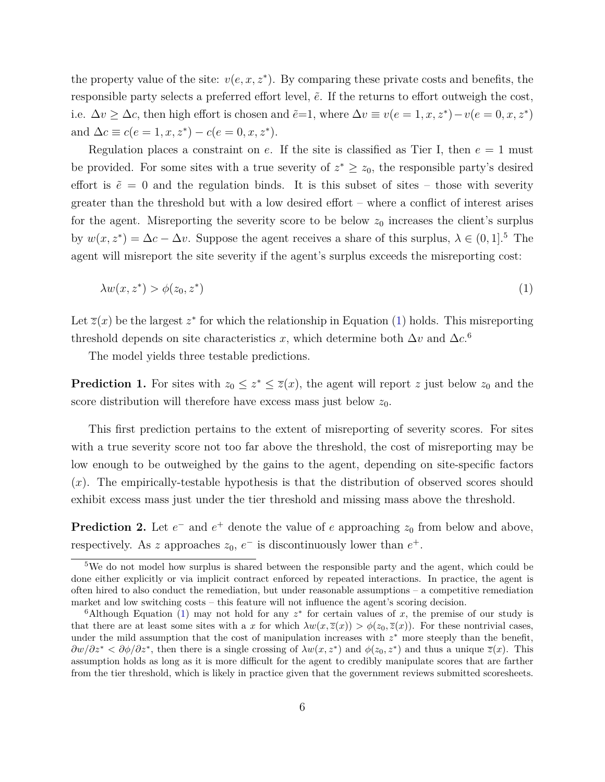the property value of the site:  $v(e, x, z^*)$ . By comparing these private costs and benefits, the responsible party selects a preferred effort level,  $\tilde{e}$ . If the returns to effort outweigh the cost, i.e.  $\Delta v \geq \Delta c$ , then high effort is chosen and  $\tilde{e}=1$ , where  $\Delta v \equiv v(e=1, x, z^*) - v(e=0, x, z^*)$ and  $\Delta c \equiv c(e = 1, x, z^*) - c(e = 0, x, z^*)$ .

Regulation places a constraint on *e*. If the site is classified as Tier I, then *e* = 1 must be provided. For some sites with a true severity of  $z^* \geq z_0$ , the responsible party's desired effort is  $\tilde{e} = 0$  and the regulation binds. It is this subset of sites – those with severity greater than the threshold but with a low desired effort – where a conflict of interest arises for the agent. Misreporting the severity score to be below  $z_0$  increases the client's surplus by  $w(x, z^*) = \Delta c - \Delta v$ . Suppose the agent receives a share of this surplus,  $\lambda \in (0, 1]$ .<sup>5</sup> The agent will misreport the site severity if the agent's surplus exceeds the misreporting cost:

<span id="page-6-0"></span>
$$
\lambda w(x, z^*) > \phi(z_0, z^*)
$$
\n<sup>(1)</sup>

Let  $\overline{z}(x)$  be the largest  $z^*$  for which the relationship in Equation [\(1\)](#page-6-0) holds. This misreporting threshold depends on site characteristics *x*, which determine both  $\Delta v$  and  $\Delta c$ .<sup>6</sup>

The model yields three testable predictions.

**Prediction 1.** For sites with  $z_0 \leq z^* \leq \overline{z}(x)$ , the agent will report *z* just below  $z_0$  and the score distribution will therefore have excess mass just below  $z_0$ .

This first prediction pertains to the extent of misreporting of severity scores. For sites with a true severity score not too far above the threshold, the cost of misreporting may be low enough to be outweighed by the gains to the agent, depending on site-specific factors (*x*). The empirically-testable hypothesis is that the distribution of observed scores should exhibit excess mass just under the tier threshold and missing mass above the threshold.

<span id="page-6-1"></span>**Prediction 2.** Let  $e^-$  and  $e^+$  denote the value of  $e$  approaching  $z_0$  from below and above, respectively. As *z* approaches  $z_0$ ,  $e^-$  is discontinuously lower than  $e^+$ .

<sup>&</sup>lt;sup>5</sup>We do not model how surplus is shared between the responsible party and the agent, which could be done either explicitly or via implicit contract enforced by repeated interactions. In practice, the agent is often hired to also conduct the remediation, but under reasonable assumptions – a competitive remediation market and low switching costs – this feature will not influence the agent's scoring decision.

<sup>&</sup>lt;sup>6</sup>Although Equation [\(1\)](#page-6-0) may not hold for any  $z^*$  for certain values of x, the premise of our study is that there are at least some sites with a *x* for which  $\lambda w(x,\overline{z}(x)) > \phi(z_0,\overline{z}(x))$ . For these nontrivial cases, under the mild assumption that the cost of manipulation increases with  $z^*$  more steeply than the benefit,  $\frac{\partial w}{\partial z^*}$  *<*  $\frac{\partial \phi}{\partial z^*}$ *,* then there is a single crossing of  $\lambda w(x, z^*)$  and  $\phi(z_0, z^*)$  and thus a unique  $\overline{z}(x)$ . This assumption holds as long as it is more difficult for the agent to credibly manipulate scores that are farther from the tier threshold, which is likely in practice given that the government reviews submitted scoresheets.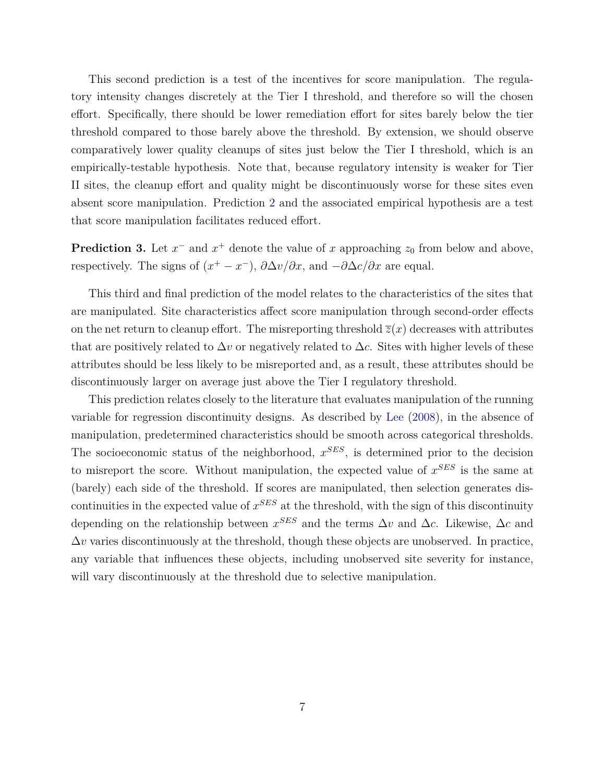This second prediction is a test of the incentives for score manipulation. The regulatory intensity changes discretely at the Tier I threshold, and therefore so will the chosen effort. Specifically, there should be lower remediation effort for sites barely below the tier threshold compared to those barely above the threshold. By extension, we should observe comparatively lower quality cleanups of sites just below the Tier I threshold, which is an empirically-testable hypothesis. Note that, because regulatory intensity is weaker for Tier II sites, the cleanup effort and quality might be discontinuously worse for these sites even absent score manipulation. Prediction [2](#page-6-1) and the associated empirical hypothesis are a test that score manipulation facilitates reduced effort.

**Prediction 3.** Let  $x^-$  and  $x^+$  denote the value of  $x$  approaching  $z_0$  from below and above, respectively. The signs of  $(x^+ - x^-)$ ,  $\partial \Delta v/\partial x$ , and  $-\partial \Delta c/\partial x$  are equal.

This third and final prediction of the model relates to the characteristics of the sites that are manipulated. Site characteristics affect score manipulation through second-order effects on the net return to cleanup effort. The misreporting threshold  $\overline{z}(x)$  decreases with attributes that are positively related to  $\Delta v$  or negatively related to  $\Delta c$ . Sites with higher levels of these attributes should be less likely to be misreported and, as a result, these attributes should be discontinuously larger on average just above the Tier I regulatory threshold.

This prediction relates closely to the literature that evaluates manipulation of the running variable for regression discontinuity designs. As described by [Lee](#page-22-11) [\(2008\)](#page-22-11), in the absence of manipulation, predetermined characteristics should be smooth across categorical thresholds. The socioeconomic status of the neighborhood, *x SES*, is determined prior to the decision to misreport the score. Without manipulation, the expected value of *x SES* is the same at (barely) each side of the threshold. If scores are manipulated, then selection generates discontinuities in the expected value of *x SES* at the threshold, with the sign of this discontinuity depending on the relationship between  $x^{SES}$  and the terms  $\Delta v$  and  $\Delta c$ . Likewise,  $\Delta c$  and  $\Delta v$  varies discontinuously at the threshold, though these objects are unobserved. In practice, any variable that influences these objects, including unobserved site severity for instance, will vary discontinuously at the threshold due to selective manipulation.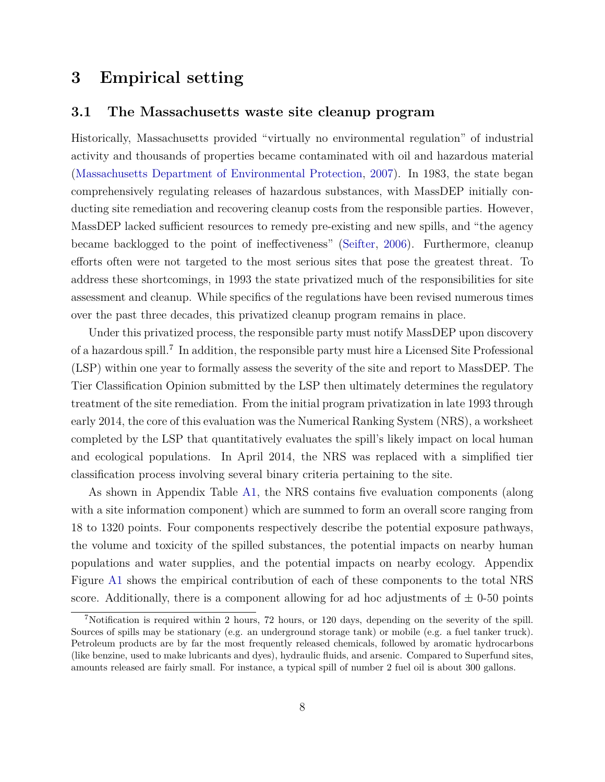## <span id="page-8-0"></span>**3 Empirical setting**

#### **3.1 The Massachusetts waste site cleanup program**

Historically, Massachusetts provided "virtually no environmental regulation" of industrial activity and thousands of properties became contaminated with oil and hazardous material [\(Massachusetts Department of Environmental Protection,](#page-22-12) [2007\)](#page-22-12). In 1983, the state began comprehensively regulating releases of hazardous substances, with MassDEP initially conducting site remediation and recovering cleanup costs from the responsible parties. However, MassDEP lacked sufficient resources to remedy pre-existing and new spills, and "the agency became backlogged to the point of ineffectiveness" [\(Seifter,](#page-22-13) [2006\)](#page-22-13). Furthermore, cleanup efforts often were not targeted to the most serious sites that pose the greatest threat. To address these shortcomings, in 1993 the state privatized much of the responsibilities for site assessment and cleanup. While specifics of the regulations have been revised numerous times over the past three decades, this privatized cleanup program remains in place.

Under this privatized process, the responsible party must notify MassDEP upon discovery of a hazardous spill.<sup>7</sup> In addition, the responsible party must hire a Licensed Site Professional (LSP) within one year to formally assess the severity of the site and report to MassDEP. The Tier Classification Opinion submitted by the LSP then ultimately determines the regulatory treatment of the site remediation. From the initial program privatization in late 1993 through early 2014, the core of this evaluation was the Numerical Ranking System (NRS), a worksheet completed by the LSP that quantitatively evaluates the spill's likely impact on local human and ecological populations. In April 2014, the NRS was replaced with a simplified tier classification process involving several binary criteria pertaining to the site.

As shown in Appendix Table [A1,](#page-36-0) the NRS contains five evaluation components (along with a site information component) which are summed to form an overall score ranging from 18 to 1320 points. Four components respectively describe the potential exposure pathways, the volume and toxicity of the spilled substances, the potential impacts on nearby human populations and water supplies, and the potential impacts on nearby ecology. Appendix Figure [A1](#page-37-0) shows the empirical contribution of each of these components to the total NRS score. Additionally, there is a component allowing for ad hoc adjustments of  $\pm$  0-50 points

<sup>7</sup>Notification is required within 2 hours, 72 hours, or 120 days, depending on the severity of the spill. Sources of spills may be stationary (e.g. an underground storage tank) or mobile (e.g. a fuel tanker truck). Petroleum products are by far the most frequently released chemicals, followed by aromatic hydrocarbons (like benzine, used to make lubricants and dyes), hydraulic fluids, and arsenic. Compared to Superfund sites, amounts released are fairly small. For instance, a typical spill of number 2 fuel oil is about 300 gallons.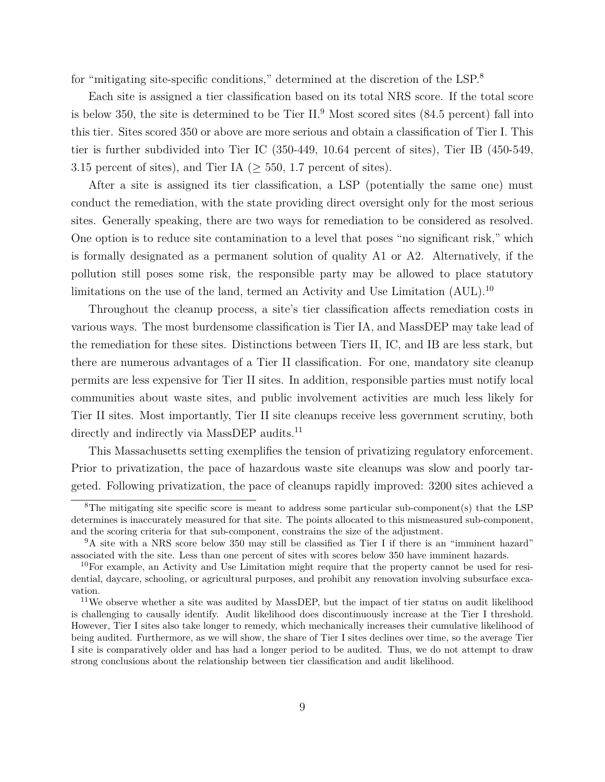for "mitigating site-specific conditions," determined at the discretion of the LSP.<sup>8</sup>

Each site is assigned a tier classification based on its total NRS score. If the total score is below 350, the site is determined to be Tier  $II.^9$  Most scored sites (84.5 percent) fall into this tier. Sites scored 350 or above are more serious and obtain a classification of Tier I. This tier is further subdivided into Tier IC (350-449, 10.64 percent of sites), Tier IB (450-549, 3.15 percent of sites), and Tier IA ( $\geq$  550, 1.7 percent of sites).

After a site is assigned its tier classification, a LSP (potentially the same one) must conduct the remediation, with the state providing direct oversight only for the most serious sites. Generally speaking, there are two ways for remediation to be considered as resolved. One option is to reduce site contamination to a level that poses "no significant risk," which is formally designated as a permanent solution of quality A1 or A2. Alternatively, if the pollution still poses some risk, the responsible party may be allowed to place statutory limitations on the use of the land, termed an Activity and Use Limitation (AUL).<sup>10</sup>

Throughout the cleanup process, a site's tier classification affects remediation costs in various ways. The most burdensome classification is Tier IA, and MassDEP may take lead of the remediation for these sites. Distinctions between Tiers II, IC, and IB are less stark, but there are numerous advantages of a Tier II classification. For one, mandatory site cleanup permits are less expensive for Tier II sites. In addition, responsible parties must notify local communities about waste sites, and public involvement activities are much less likely for Tier II sites. Most importantly, Tier II site cleanups receive less government scrutiny, both directly and indirectly via MassDEP audits.<sup>11</sup>

This Massachusetts setting exemplifies the tension of privatizing regulatory enforcement. Prior to privatization, the pace of hazardous waste site cleanups was slow and poorly targeted. Following privatization, the pace of cleanups rapidly improved: 3200 sites achieved a

<sup>&</sup>lt;sup>8</sup>The mitigating site specific score is meant to address some particular sub-component(s) that the LSP determines is inaccurately measured for that site. The points allocated to this mismeasured sub-component, and the scoring criteria for that sub-component, constrains the size of the adjustment.

<sup>&</sup>lt;sup>9</sup>A site with a NRS score below 350 may still be classified as Tier I if there is an "imminent hazard" associated with the site. Less than one percent of sites with scores below 350 have imminent hazards.

<sup>&</sup>lt;sup>10</sup>For example, an Activity and Use Limitation might require that the property cannot be used for residential, daycare, schooling, or agricultural purposes, and prohibit any renovation involving subsurface excavation.

<sup>&</sup>lt;sup>11</sup>We observe whether a site was audited by MassDEP, but the impact of tier status on audit likelihood is challenging to causally identify. Audit likelihood does discontinuously increase at the Tier I threshold. However, Tier I sites also take longer to remedy, which mechanically increases their cumulative likelihood of being audited. Furthermore, as we will show, the share of Tier I sites declines over time, so the average Tier I site is comparatively older and has had a longer period to be audited. Thus, we do not attempt to draw strong conclusions about the relationship between tier classification and audit likelihood.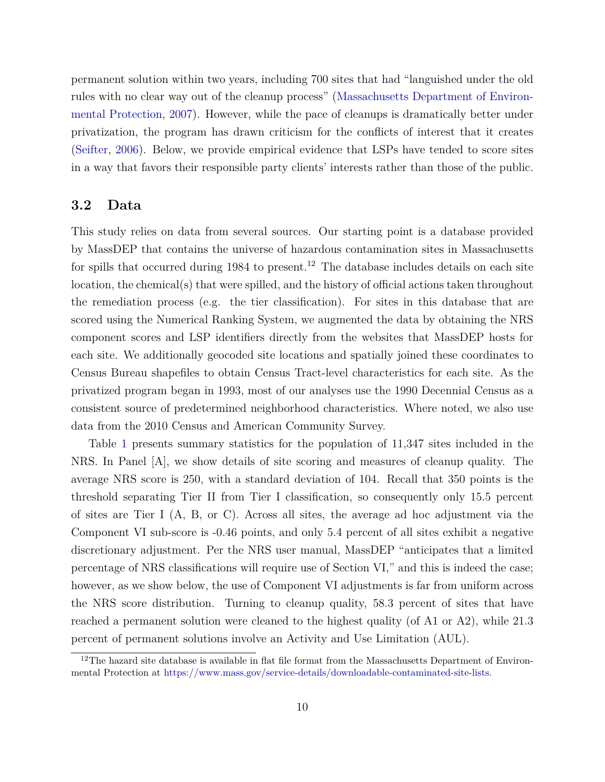permanent solution within two years, including 700 sites that had "languished under the old rules with no clear way out of the cleanup process" [\(Massachusetts Department of Environ](#page-22-12)[mental Protection,](#page-22-12) [2007\)](#page-22-12). However, while the pace of cleanups is dramatically better under privatization, the program has drawn criticism for the conflicts of interest that it creates [\(Seifter,](#page-22-13) [2006\)](#page-22-13). Below, we provide empirical evidence that LSPs have tended to score sites in a way that favors their responsible party clients' interests rather than those of the public.

#### **3.2 Data**

This study relies on data from several sources. Our starting point is a database provided by MassDEP that contains the universe of hazardous contamination sites in Massachusetts for spills that occurred during 1984 to present.<sup>12</sup> The database includes details on each site location, the chemical(s) that were spilled, and the history of official actions taken throughout the remediation process (e.g. the tier classification). For sites in this database that are scored using the Numerical Ranking System, we augmented the data by obtaining the NRS component scores and LSP identifiers directly from the websites that MassDEP hosts for each site. We additionally geocoded site locations and spatially joined these coordinates to Census Bureau shapefiles to obtain Census Tract-level characteristics for each site. As the privatized program began in 1993, most of our analyses use the 1990 Decennial Census as a consistent source of predetermined neighborhood characteristics. Where noted, we also use data from the 2010 Census and American Community Survey.

Table [1](#page-30-0) presents summary statistics for the population of 11,347 sites included in the NRS. In Panel [A], we show details of site scoring and measures of cleanup quality. The average NRS score is 250, with a standard deviation of 104. Recall that 350 points is the threshold separating Tier II from Tier I classification, so consequently only 15.5 percent of sites are Tier I (A, B, or C). Across all sites, the average ad hoc adjustment via the Component VI sub-score is -0.46 points, and only 5.4 percent of all sites exhibit a negative discretionary adjustment. Per the NRS user manual, MassDEP "anticipates that a limited percentage of NRS classifications will require use of Section VI," and this is indeed the case; however, as we show below, the use of Component VI adjustments is far from uniform across the NRS score distribution. Turning to cleanup quality, 58.3 percent of sites that have reached a permanent solution were cleaned to the highest quality (of A1 or A2), while 21.3 percent of permanent solutions involve an Activity and Use Limitation (AUL).

 $12$ The hazard site database is available in flat file format from the Massachusetts Department of Environmental Protection at [https://www.mass.gov/service-details/downloadable-contaminated-site-lists.](https://www.mass.gov/service-details/downloadable-contaminated-site-lists)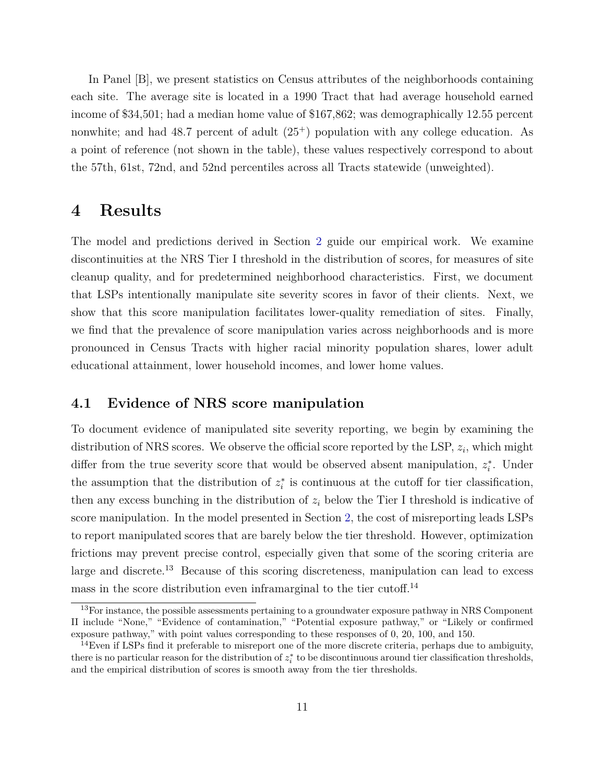In Panel [B], we present statistics on Census attributes of the neighborhoods containing each site. The average site is located in a 1990 Tract that had average household earned income of \$34,501; had a median home value of \$167,862; was demographically 12.55 percent nonwhite; and had 48.7 percent of adult  $(25^+)$  population with any college education. As a point of reference (not shown in the table), these values respectively correspond to about the 57th, 61st, 72nd, and 52nd percentiles across all Tracts statewide (unweighted).

### <span id="page-11-0"></span>**4 Results**

The model and predictions derived in Section [2](#page-5-0) guide our empirical work. We examine discontinuities at the NRS Tier I threshold in the distribution of scores, for measures of site cleanup quality, and for predetermined neighborhood characteristics. First, we document that LSPs intentionally manipulate site severity scores in favor of their clients. Next, we show that this score manipulation facilitates lower-quality remediation of sites. Finally, we find that the prevalence of score manipulation varies across neighborhoods and is more pronounced in Census Tracts with higher racial minority population shares, lower adult educational attainment, lower household incomes, and lower home values.

#### **4.1 Evidence of NRS score manipulation**

To document evidence of manipulated site severity reporting, we begin by examining the distribution of NRS scores. We observe the official score reported by the LSP, *z<sup>i</sup>* , which might differ from the true severity score that would be observed absent manipulation,  $z_i^*$ . Under the assumption that the distribution of  $z_i^*$  is continuous at the cutoff for tier classification, then any excess bunching in the distribution of  $z_i$  below the Tier I threshold is indicative of score manipulation. In the model presented in Section [2,](#page-5-0) the cost of misreporting leads LSPs to report manipulated scores that are barely below the tier threshold. However, optimization frictions may prevent precise control, especially given that some of the scoring criteria are large and discrete.<sup>13</sup> Because of this scoring discreteness, manipulation can lead to excess mass in the score distribution even inframarginal to the tier cutoff.<sup>14</sup>

<sup>&</sup>lt;sup>13</sup>For instance, the possible assessments pertaining to a groundwater exposure pathway in NRS Component II include "None," "Evidence of contamination," "Potential exposure pathway," or "Likely or confirmed exposure pathway," with point values corresponding to these responses of 0, 20, 100, and 150.

<sup>&</sup>lt;sup>14</sup>Even if LSPs find it preferable to misreport one of the more discrete criteria, perhaps due to ambiguity, there is no particular reason for the distribution of  $z_i^*$  to be discontinuous around tier classification thresholds, and the empirical distribution of scores is smooth away from the tier thresholds.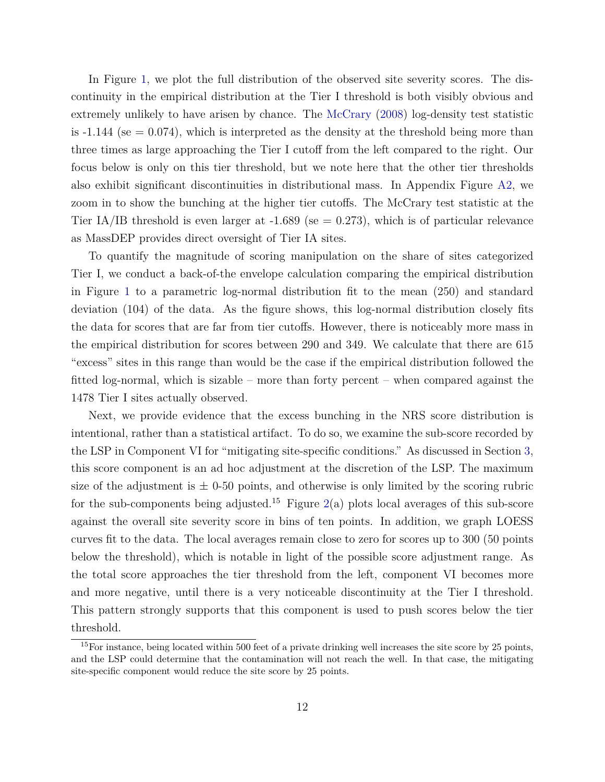In Figure [1,](#page-24-0) we plot the full distribution of the observed site severity scores. The discontinuity in the empirical distribution at the Tier I threshold is both visibly obvious and extremely unlikely to have arisen by chance. The [McCrary](#page-22-14) [\(2008\)](#page-22-14) log-density test statistic is  $-1.144$  (se  $= 0.074$ ), which is interpreted as the density at the threshold being more than three times as large approaching the Tier I cutoff from the left compared to the right. Our focus below is only on this tier threshold, but we note here that the other tier thresholds also exhibit significant discontinuities in distributional mass. In Appendix Figure [A2,](#page-38-0) we zoom in to show the bunching at the higher tier cutoffs. The McCrary test statistic at the Tier IA/IB threshold is even larger at  $-1.689$  (se = 0.273), which is of particular relevance as MassDEP provides direct oversight of Tier IA sites.

To quantify the magnitude of scoring manipulation on the share of sites categorized Tier I, we conduct a back-of-the envelope calculation comparing the empirical distribution in Figure [1](#page-24-0) to a parametric log-normal distribution fit to the mean (250) and standard deviation (104) of the data. As the figure shows, this log-normal distribution closely fits the data for scores that are far from tier cutoffs. However, there is noticeably more mass in the empirical distribution for scores between 290 and 349. We calculate that there are 615 "excess" sites in this range than would be the case if the empirical distribution followed the fitted log-normal, which is sizable – more than forty percent – when compared against the 1478 Tier I sites actually observed.

Next, we provide evidence that the excess bunching in the NRS score distribution is intentional, rather than a statistical artifact. To do so, we examine the sub-score recorded by the LSP in Component VI for "mitigating site-specific conditions." As discussed in Section [3,](#page-8-0) this score component is an ad hoc adjustment at the discretion of the LSP. The maximum size of the adjustment is  $\pm$  0-50 points, and otherwise is only limited by the scoring rubric for the sub-components being adjusted.<sup>15</sup> Figure [2\(](#page-25-0)a) plots local averages of this sub-score against the overall site severity score in bins of ten points. In addition, we graph LOESS curves fit to the data. The local averages remain close to zero for scores up to 300 (50 points below the threshold), which is notable in light of the possible score adjustment range. As the total score approaches the tier threshold from the left, component VI becomes more and more negative, until there is a very noticeable discontinuity at the Tier I threshold. This pattern strongly supports that this component is used to push scores below the tier threshold.

 $15$ For instance, being located within 500 feet of a private drinking well increases the site score by 25 points, and the LSP could determine that the contamination will not reach the well. In that case, the mitigating site-specific component would reduce the site score by 25 points.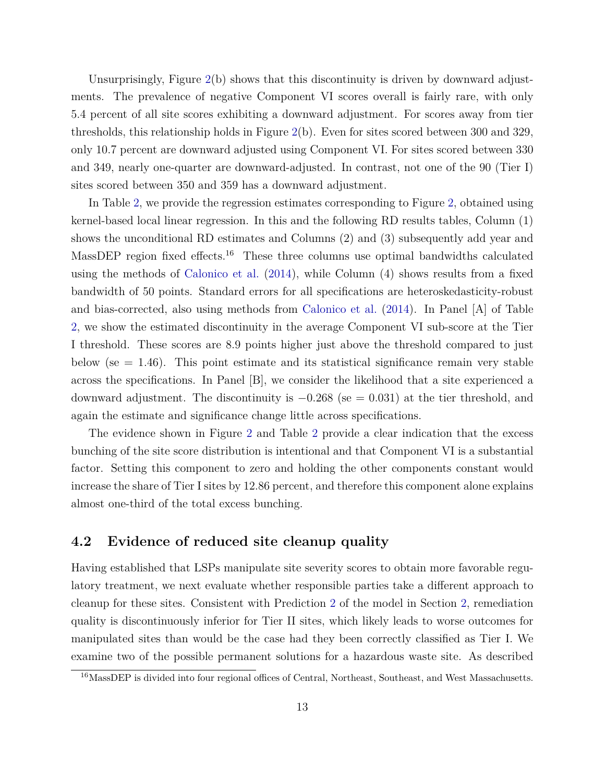Unsurprisingly, Figure [2\(](#page-25-0)b) shows that this discontinuity is driven by downward adjustments. The prevalence of negative Component VI scores overall is fairly rare, with only 5.4 percent of all site scores exhibiting a downward adjustment. For scores away from tier thresholds, this relationship holds in Figure [2\(](#page-25-0)b). Even for sites scored between 300 and 329, only 10.7 percent are downward adjusted using Component VI. For sites scored between 330 and 349, nearly one-quarter are downward-adjusted. In contrast, not one of the 90 (Tier I) sites scored between 350 and 359 has a downward adjustment.

In Table [2,](#page-31-0) we provide the regression estimates corresponding to Figure [2,](#page-25-0) obtained using kernel-based local linear regression. In this and the following RD results tables, Column (1) shows the unconditional RD estimates and Columns (2) and (3) subsequently add year and MassDEP region fixed effects.<sup>16</sup> These three columns use optimal bandwidths calculated using the methods of [Calonico et al.](#page-20-4) [\(2014\)](#page-20-4), while Column (4) shows results from a fixed bandwidth of 50 points. Standard errors for all specifications are heteroskedasticity-robust and bias-corrected, also using methods from [Calonico et al.](#page-20-4) [\(2014\)](#page-20-4). In Panel [A] of Table [2,](#page-31-0) we show the estimated discontinuity in the average Component VI sub-score at the Tier I threshold. These scores are 8.9 points higher just above the threshold compared to just below (se  $= 1.46$ ). This point estimate and its statistical significance remain very stable across the specifications. In Panel [B], we consider the likelihood that a site experienced a downward adjustment. The discontinuity is  $-0.268$  (se = 0.031) at the tier threshold, and again the estimate and significance change little across specifications.

The evidence shown in Figure [2](#page-25-0) and Table [2](#page-31-0) provide a clear indication that the excess bunching of the site score distribution is intentional and that Component VI is a substantial factor. Setting this component to zero and holding the other components constant would increase the share of Tier I sites by 12.86 percent, and therefore this component alone explains almost one-third of the total excess bunching.

#### <span id="page-13-0"></span>**4.2 Evidence of reduced site cleanup quality**

Having established that LSPs manipulate site severity scores to obtain more favorable regulatory treatment, we next evaluate whether responsible parties take a different approach to cleanup for these sites. Consistent with Prediction [2](#page-6-1) of the model in Section [2,](#page-5-0) remediation quality is discontinuously inferior for Tier II sites, which likely leads to worse outcomes for manipulated sites than would be the case had they been correctly classified as Tier I. We examine two of the possible permanent solutions for a hazardous waste site. As described

<sup>&</sup>lt;sup>16</sup>MassDEP is divided into four regional offices of Central, Northeast, Southeast, and West Massachusetts.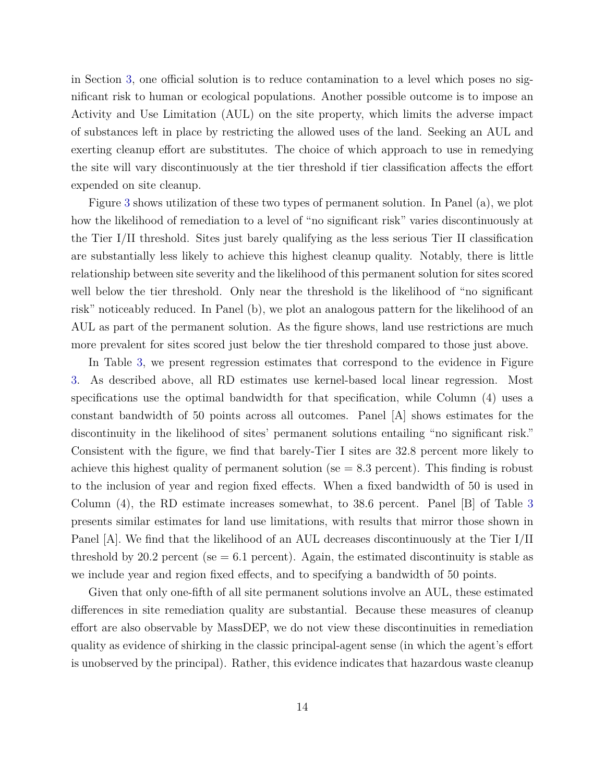in Section [3,](#page-8-0) one official solution is to reduce contamination to a level which poses no significant risk to human or ecological populations. Another possible outcome is to impose an Activity and Use Limitation (AUL) on the site property, which limits the adverse impact of substances left in place by restricting the allowed uses of the land. Seeking an AUL and exerting cleanup effort are substitutes. The choice of which approach to use in remedying the site will vary discontinuously at the tier threshold if tier classification affects the effort expended on site cleanup.

Figure [3](#page-26-0) shows utilization of these two types of permanent solution. In Panel (a), we plot how the likelihood of remediation to a level of "no significant risk" varies discontinuously at the Tier I/II threshold. Sites just barely qualifying as the less serious Tier II classification are substantially less likely to achieve this highest cleanup quality. Notably, there is little relationship between site severity and the likelihood of this permanent solution for sites scored well below the tier threshold. Only near the threshold is the likelihood of "no significant" risk" noticeably reduced. In Panel (b), we plot an analogous pattern for the likelihood of an AUL as part of the permanent solution. As the figure shows, land use restrictions are much more prevalent for sites scored just below the tier threshold compared to those just above.

In Table [3,](#page-32-0) we present regression estimates that correspond to the evidence in Figure [3.](#page-26-0) As described above, all RD estimates use kernel-based local linear regression. Most specifications use the optimal bandwidth for that specification, while Column (4) uses a constant bandwidth of 50 points across all outcomes. Panel [A] shows estimates for the discontinuity in the likelihood of sites' permanent solutions entailing "no significant risk." Consistent with the figure, we find that barely-Tier I sites are 32.8 percent more likely to achieve this highest quality of permanent solution (se  $= 8.3$  percent). This finding is robust to the inclusion of year and region fixed effects. When a fixed bandwidth of 50 is used in Column (4), the RD estimate increases somewhat, to 38.6 percent. Panel [B] of Table [3](#page-32-0) presents similar estimates for land use limitations, with results that mirror those shown in Panel [A]. We find that the likelihood of an AUL decreases discontinuously at the Tier I/II threshold by 20.2 percent (se  $= 6.1$  percent). Again, the estimated discontinuity is stable as we include year and region fixed effects, and to specifying a bandwidth of 50 points.

Given that only one-fifth of all site permanent solutions involve an AUL, these estimated differences in site remediation quality are substantial. Because these measures of cleanup effort are also observable by MassDEP, we do not view these discontinuities in remediation quality as evidence of shirking in the classic principal-agent sense (in which the agent's effort is unobserved by the principal). Rather, this evidence indicates that hazardous waste cleanup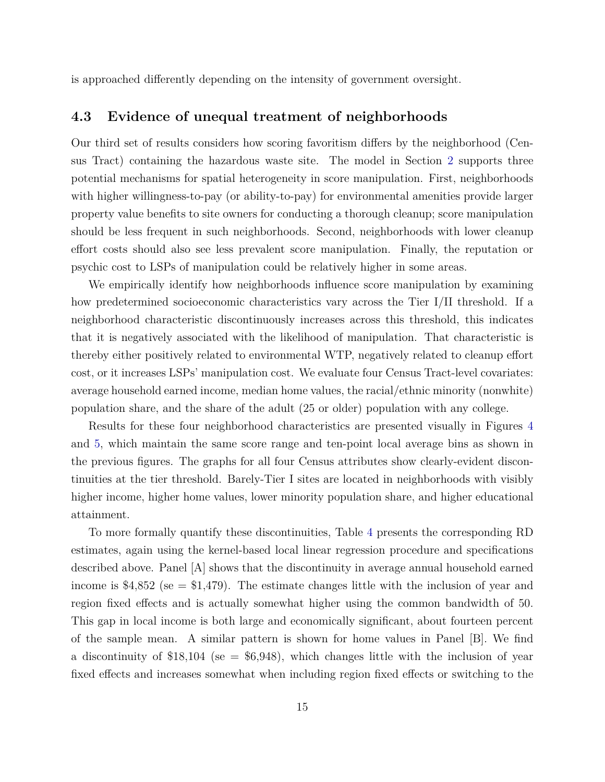is approached differently depending on the intensity of government oversight.

#### <span id="page-15-0"></span>**4.3 Evidence of unequal treatment of neighborhoods**

Our third set of results considers how scoring favoritism differs by the neighborhood (Census Tract) containing the hazardous waste site. The model in Section [2](#page-5-0) supports three potential mechanisms for spatial heterogeneity in score manipulation. First, neighborhoods with higher willingness-to-pay (or ability-to-pay) for environmental amenities provide larger property value benefits to site owners for conducting a thorough cleanup; score manipulation should be less frequent in such neighborhoods. Second, neighborhoods with lower cleanup effort costs should also see less prevalent score manipulation. Finally, the reputation or psychic cost to LSPs of manipulation could be relatively higher in some areas.

We empirically identify how neighborhoods influence score manipulation by examining how predetermined socioeconomic characteristics vary across the Tier I/II threshold. If a neighborhood characteristic discontinuously increases across this threshold, this indicates that it is negatively associated with the likelihood of manipulation. That characteristic is thereby either positively related to environmental WTP, negatively related to cleanup effort cost, or it increases LSPs' manipulation cost. We evaluate four Census Tract-level covariates: average household earned income, median home values, the racial/ethnic minority (nonwhite) population share, and the share of the adult (25 or older) population with any college.

Results for these four neighborhood characteristics are presented visually in Figures [4](#page-27-0) and [5,](#page-28-0) which maintain the same score range and ten-point local average bins as shown in the previous figures. The graphs for all four Census attributes show clearly-evident discontinuities at the tier threshold. Barely-Tier I sites are located in neighborhoods with visibly higher income, higher home values, lower minority population share, and higher educational attainment.

To more formally quantify these discontinuities, Table [4](#page-33-0) presents the corresponding RD estimates, again using the kernel-based local linear regression procedure and specifications described above. Panel [A] shows that the discontinuity in average annual household earned income is \$4,852 (se  $=$  \$1,479). The estimate changes little with the inclusion of year and region fixed effects and is actually somewhat higher using the common bandwidth of 50. This gap in local income is both large and economically significant, about fourteen percent of the sample mean. A similar pattern is shown for home values in Panel [B]. We find a discontinuity of \$18,104 (se = \$6,948), which changes little with the inclusion of year fixed effects and increases somewhat when including region fixed effects or switching to the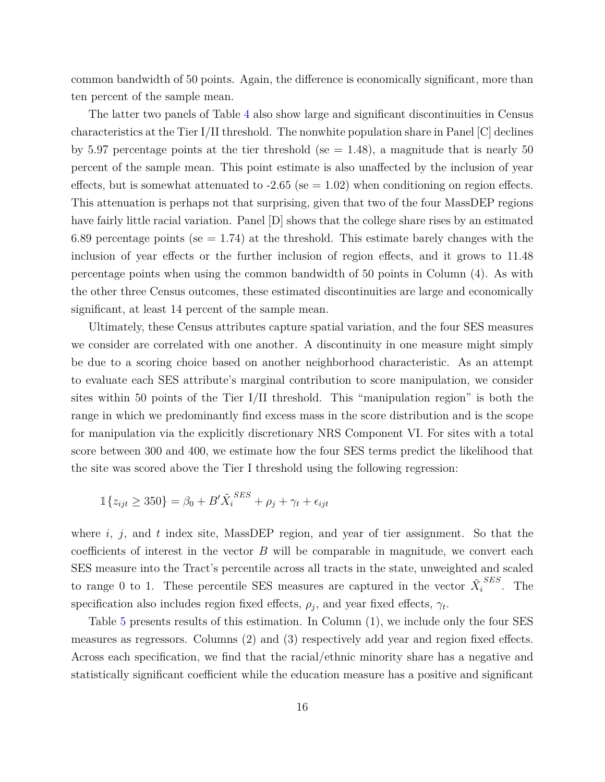common bandwidth of 50 points. Again, the difference is economically significant, more than ten percent of the sample mean.

The latter two panels of Table [4](#page-33-0) also show large and significant discontinuities in Census characteristics at the Tier I/II threshold. The nonwhite population share in Panel [C] declines by 5.97 percentage points at the tier threshold (se  $= 1.48$ ), a magnitude that is nearly 50 percent of the sample mean. This point estimate is also unaffected by the inclusion of year effects, but is somewhat attenuated to  $-2.65$  (se  $= 1.02$ ) when conditioning on region effects. This attenuation is perhaps not that surprising, given that two of the four MassDEP regions have fairly little racial variation. Panel  $|D|$  shows that the college share rises by an estimated 6.89 percentage points (se  $= 1.74$ ) at the threshold. This estimate barely changes with the inclusion of year effects or the further inclusion of region effects, and it grows to 11.48 percentage points when using the common bandwidth of 50 points in Column (4). As with the other three Census outcomes, these estimated discontinuities are large and economically significant, at least 14 percent of the sample mean.

Ultimately, these Census attributes capture spatial variation, and the four SES measures we consider are correlated with one another. A discontinuity in one measure might simply be due to a scoring choice based on another neighborhood characteristic. As an attempt to evaluate each SES attribute's marginal contribution to score manipulation, we consider sites within 50 points of the Tier I/II threshold. This "manipulation region" is both the range in which we predominantly find excess mass in the score distribution and is the scope for manipulation via the explicitly discretionary NRS Component VI. For sites with a total score between 300 and 400, we estimate how the four SES terms predict the likelihood that the site was scored above the Tier I threshold using the following regression:

$$
\mathbb{1}\{z_{ijt} \ge 350\} = \beta_0 + B'\tilde{X}_i^{SES} + \rho_j + \gamma_t + \epsilon_{ijt}
$$

where *i*, *j*, and *t* index site, MassDEP region, and year of tier assignment. So that the coefficients of interest in the vector *B* will be comparable in magnitude, we convert each SES measure into the Tract's percentile across all tracts in the state, unweighted and scaled to range 0 to 1. These percentile SES measures are captured in the vector  $\tilde{X}_i^{SES}$ . The specification also includes region fixed effects,  $\rho_j$ , and year fixed effects,  $\gamma_t$ .

Table [5](#page-34-0) presents results of this estimation. In Column (1), we include only the four SES measures as regressors. Columns (2) and (3) respectively add year and region fixed effects. Across each specification, we find that the racial/ethnic minority share has a negative and statistically significant coefficient while the education measure has a positive and significant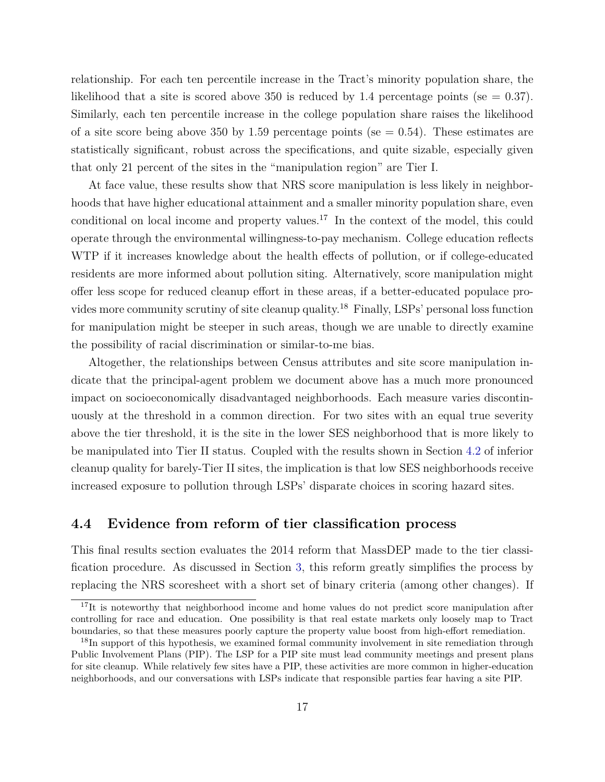relationship. For each ten percentile increase in the Tract's minority population share, the likelihood that a site is scored above 350 is reduced by 1.4 percentage points (se  $= 0.37$ ). Similarly, each ten percentile increase in the college population share raises the likelihood of a site score being above 350 by 1.59 percentage points (se  $= 0.54$ ). These estimates are statistically significant, robust across the specifications, and quite sizable, especially given that only 21 percent of the sites in the "manipulation region" are Tier I.

At face value, these results show that NRS score manipulation is less likely in neighborhoods that have higher educational attainment and a smaller minority population share, even conditional on local income and property values.<sup>17</sup> In the context of the model, this could operate through the environmental willingness-to-pay mechanism. College education reflects WTP if it increases knowledge about the health effects of pollution, or if college-educated residents are more informed about pollution siting. Alternatively, score manipulation might offer less scope for reduced cleanup effort in these areas, if a better-educated populace provides more community scrutiny of site cleanup quality.<sup>18</sup> Finally, LSPs' personal loss function for manipulation might be steeper in such areas, though we are unable to directly examine the possibility of racial discrimination or similar-to-me bias.

Altogether, the relationships between Census attributes and site score manipulation indicate that the principal-agent problem we document above has a much more pronounced impact on socioeconomically disadvantaged neighborhoods. Each measure varies discontinuously at the threshold in a common direction. For two sites with an equal true severity above the tier threshold, it is the site in the lower SES neighborhood that is more likely to be manipulated into Tier II status. Coupled with the results shown in Section [4.2](#page-13-0) of inferior cleanup quality for barely-Tier II sites, the implication is that low SES neighborhoods receive increased exposure to pollution through LSPs' disparate choices in scoring hazard sites.

#### **4.4 Evidence from reform of tier classification process**

This final results section evaluates the 2014 reform that MassDEP made to the tier classification procedure. As discussed in Section [3,](#page-8-0) this reform greatly simplifies the process by replacing the NRS scoresheet with a short set of binary criteria (among other changes). If

<sup>&</sup>lt;sup>17</sup>It is noteworthy that neighborhood income and home values do not predict score manipulation after controlling for race and education. One possibility is that real estate markets only loosely map to Tract boundaries, so that these measures poorly capture the property value boost from high-effort remediation.

<sup>&</sup>lt;sup>18</sup>In support of this hypothesis, we examined formal community involvement in site remediation through Public Involvement Plans (PIP). The LSP for a PIP site must lead community meetings and present plans for site cleanup. While relatively few sites have a PIP, these activities are more common in higher-education neighborhoods, and our conversations with LSPs indicate that responsible parties fear having a site PIP.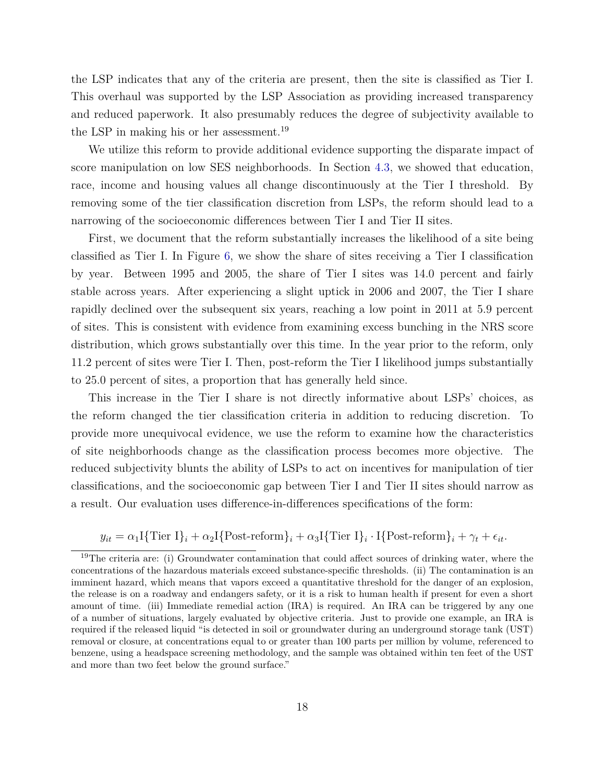the LSP indicates that any of the criteria are present, then the site is classified as Tier I. This overhaul was supported by the LSP Association as providing increased transparency and reduced paperwork. It also presumably reduces the degree of subjectivity available to the LSP in making his or her assessment.<sup>19</sup>

We utilize this reform to provide additional evidence supporting the disparate impact of score manipulation on low SES neighborhoods. In Section [4.3,](#page-15-0) we showed that education, race, income and housing values all change discontinuously at the Tier I threshold. By removing some of the tier classification discretion from LSPs, the reform should lead to a narrowing of the socioeconomic differences between Tier I and Tier II sites.

First, we document that the reform substantially increases the likelihood of a site being classified as Tier I. In Figure [6,](#page-29-0) we show the share of sites receiving a Tier I classification by year. Between 1995 and 2005, the share of Tier I sites was 14.0 percent and fairly stable across years. After experiencing a slight uptick in 2006 and 2007, the Tier I share rapidly declined over the subsequent six years, reaching a low point in 2011 at 5.9 percent of sites. This is consistent with evidence from examining excess bunching in the NRS score distribution, which grows substantially over this time. In the year prior to the reform, only 11.2 percent of sites were Tier I. Then, post-reform the Tier I likelihood jumps substantially to 25.0 percent of sites, a proportion that has generally held since.

This increase in the Tier I share is not directly informative about LSPs' choices, as the reform changed the tier classification criteria in addition to reducing discretion. To provide more unequivocal evidence, we use the reform to examine how the characteristics of site neighborhoods change as the classification process becomes more objective. The reduced subjectivity blunts the ability of LSPs to act on incentives for manipulation of tier classifications, and the socioeconomic gap between Tier I and Tier II sites should narrow as a result. Our evaluation uses difference-in-differences specifications of the form:

 $y_{it} = \alpha_1 \text{I} \{\text{Tier } \text{I}\}_i + \alpha_2 \text{I} \{\text{Post-reform}\}_i + \alpha_3 \text{I} \{\text{Tier } \text{I}\}_i \cdot \text{I} \{\text{Post-reform}\}_i + \gamma_t + \epsilon_{it}$ .

<sup>&</sup>lt;sup>19</sup>The criteria are: (i) Groundwater contamination that could affect sources of drinking water, where the concentrations of the hazardous materials exceed substance-specific thresholds. (ii) The contamination is an imminent hazard, which means that vapors exceed a quantitative threshold for the danger of an explosion, the release is on a roadway and endangers safety, or it is a risk to human health if present for even a short amount of time. (iii) Immediate remedial action (IRA) is required. An IRA can be triggered by any one of a number of situations, largely evaluated by objective criteria. Just to provide one example, an IRA is required if the released liquid "is detected in soil or groundwater during an underground storage tank (UST) removal or closure, at concentrations equal to or greater than 100 parts per million by volume, referenced to benzene, using a headspace screening methodology, and the sample was obtained within ten feet of the UST and more than two feet below the ground surface."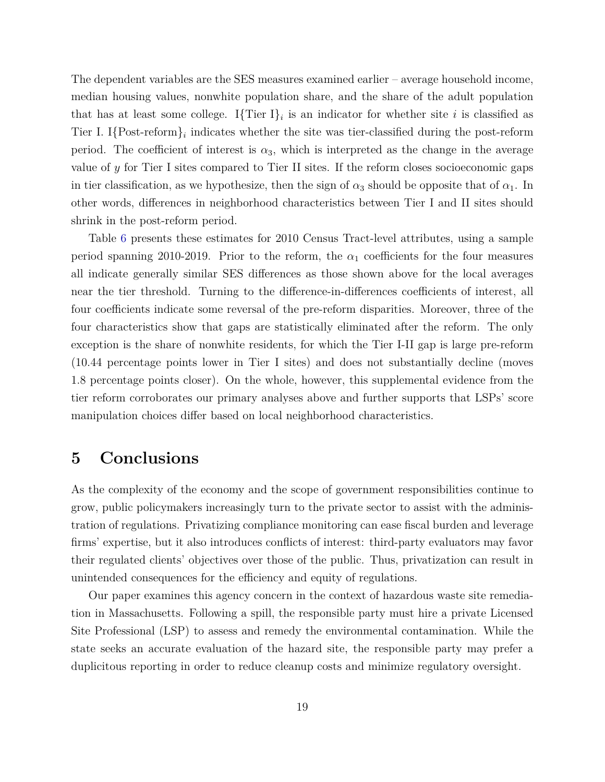The dependent variables are the SES measures examined earlier – average household income, median housing values, nonwhite population share, and the share of the adult population that has at least some college. I{Tier I}<sub>i</sub> is an indicator for whether site *i* is classified as Tier I. I $\{Post\text{-reform}\}_i$  indicates whether the site was tier-classified during the post-reform period. The coefficient of interest is  $\alpha_3$ , which is interpreted as the change in the average value of *y* for Tier I sites compared to Tier II sites. If the reform closes socioeconomic gaps in tier classification, as we hypothesize, then the sign of  $\alpha_3$  should be opposite that of  $\alpha_1$ . In other words, differences in neighborhood characteristics between Tier I and II sites should shrink in the post-reform period.

Table [6](#page-35-0) presents these estimates for 2010 Census Tract-level attributes, using a sample period spanning 2010-2019. Prior to the reform, the  $\alpha_1$  coefficients for the four measures all indicate generally similar SES differences as those shown above for the local averages near the tier threshold. Turning to the difference-in-differences coefficients of interest, all four coefficients indicate some reversal of the pre-reform disparities. Moreover, three of the four characteristics show that gaps are statistically eliminated after the reform. The only exception is the share of nonwhite residents, for which the Tier I-II gap is large pre-reform (10.44 percentage points lower in Tier I sites) and does not substantially decline (moves 1.8 percentage points closer). On the whole, however, this supplemental evidence from the tier reform corroborates our primary analyses above and further supports that LSPs' score manipulation choices differ based on local neighborhood characteristics.

## <span id="page-19-0"></span>**5 Conclusions**

As the complexity of the economy and the scope of government responsibilities continue to grow, public policymakers increasingly turn to the private sector to assist with the administration of regulations. Privatizing compliance monitoring can ease fiscal burden and leverage firms' expertise, but it also introduces conflicts of interest: third-party evaluators may favor their regulated clients' objectives over those of the public. Thus, privatization can result in unintended consequences for the efficiency and equity of regulations.

Our paper examines this agency concern in the context of hazardous waste site remediation in Massachusetts. Following a spill, the responsible party must hire a private Licensed Site Professional (LSP) to assess and remedy the environmental contamination. While the state seeks an accurate evaluation of the hazard site, the responsible party may prefer a duplicitous reporting in order to reduce cleanup costs and minimize regulatory oversight.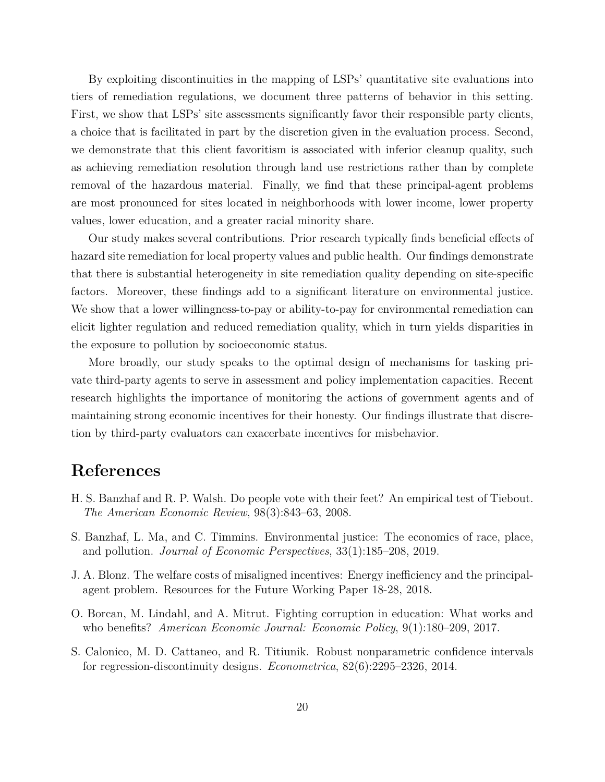By exploiting discontinuities in the mapping of LSPs' quantitative site evaluations into tiers of remediation regulations, we document three patterns of behavior in this setting. First, we show that LSPs' site assessments significantly favor their responsible party clients, a choice that is facilitated in part by the discretion given in the evaluation process. Second, we demonstrate that this client favoritism is associated with inferior cleanup quality, such as achieving remediation resolution through land use restrictions rather than by complete removal of the hazardous material. Finally, we find that these principal-agent problems are most pronounced for sites located in neighborhoods with lower income, lower property values, lower education, and a greater racial minority share.

Our study makes several contributions. Prior research typically finds beneficial effects of hazard site remediation for local property values and public health. Our findings demonstrate that there is substantial heterogeneity in site remediation quality depending on site-specific factors. Moreover, these findings add to a significant literature on environmental justice. We show that a lower willingness-to-pay or ability-to-pay for environmental remediation can elicit lighter regulation and reduced remediation quality, which in turn yields disparities in the exposure to pollution by socioeconomic status.

More broadly, our study speaks to the optimal design of mechanisms for tasking private third-party agents to serve in assessment and policy implementation capacities. Recent research highlights the importance of monitoring the actions of government agents and of maintaining strong economic incentives for their honesty. Our findings illustrate that discretion by third-party evaluators can exacerbate incentives for misbehavior.

## **References**

- <span id="page-20-3"></span>H. S. Banzhaf and R. P. Walsh. Do people vote with their feet? An empirical test of Tiebout. *The American Economic Review*, 98(3):843–63, 2008.
- <span id="page-20-2"></span>S. Banzhaf, L. Ma, and C. Timmins. Environmental justice: The economics of race, place, and pollution. *Journal of Economic Perspectives*, 33(1):185–208, 2019.
- <span id="page-20-0"></span>J. A. Blonz. The welfare costs of misaligned incentives: Energy inefficiency and the principalagent problem. Resources for the Future Working Paper 18-28, 2018.
- <span id="page-20-1"></span>O. Borcan, M. Lindahl, and A. Mitrut. Fighting corruption in education: What works and who benefits? *American Economic Journal: Economic Policy*, 9(1):180–209, 2017.
- <span id="page-20-4"></span>S. Calonico, M. D. Cattaneo, and R. Titiunik. Robust nonparametric confidence intervals for regression-discontinuity designs. *Econometrica*, 82(6):2295–2326, 2014.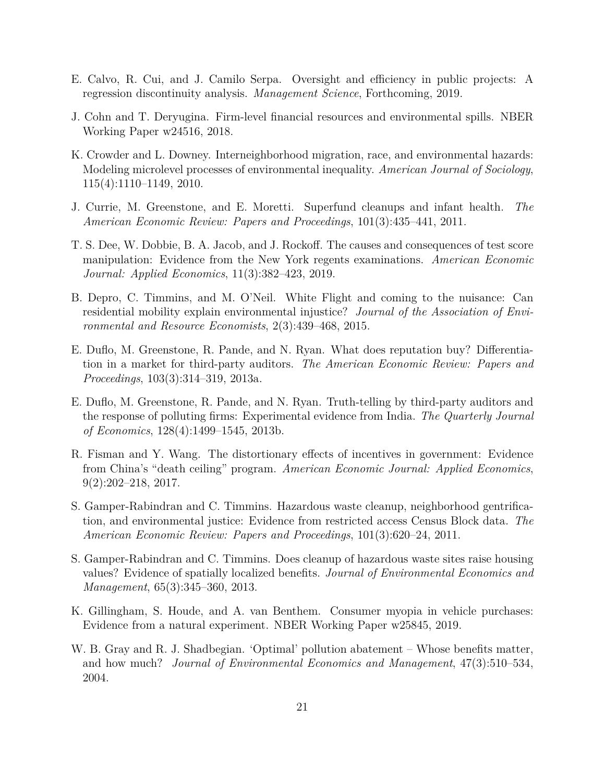- <span id="page-21-5"></span>E. Calvo, R. Cui, and J. Camilo Serpa. Oversight and efficiency in public projects: A regression discontinuity analysis. *Management Science*, Forthcoming, 2019.
- <span id="page-21-8"></span>J. Cohn and T. Deryugina. Firm-level financial resources and environmental spills. NBER Working Paper w24516, 2018.
- <span id="page-21-10"></span>K. Crowder and L. Downey. Interneighborhood migration, race, and environmental hazards: Modeling microlevel processes of environmental inequality. *American Journal of Sociology*, 115(4):1110–1149, 2010.
- <span id="page-21-7"></span>J. Currie, M. Greenstone, and E. Moretti. Superfund cleanups and infant health. *The American Economic Review: Papers and Proceedings*, 101(3):435–441, 2011.
- <span id="page-21-3"></span>T. S. Dee, W. Dobbie, B. A. Jacob, and J. Rockoff. The causes and consequences of test score manipulation: Evidence from the New York regents examinations. *American Economic Journal: Applied Economics*, 11(3):382–423, 2019.
- <span id="page-21-12"></span>B. Depro, C. Timmins, and M. O'Neil. White Flight and coming to the nuisance: Can residential mobility explain environmental injustice? *Journal of the Association of Environmental and Resource Economists*, 2(3):439–468, 2015.
- <span id="page-21-0"></span>E. Duflo, M. Greenstone, R. Pande, and N. Ryan. What does reputation buy? Differentiation in a market for third-party auditors. *The American Economic Review: Papers and Proceedings*, 103(3):314–319, 2013a.
- <span id="page-21-1"></span>E. Duflo, M. Greenstone, R. Pande, and N. Ryan. Truth-telling by third-party auditors and the response of polluting firms: Experimental evidence from India. *The Quarterly Journal of Economics*, 128(4):1499–1545, 2013b.
- <span id="page-21-2"></span>R. Fisman and Y. Wang. The distortionary effects of incentives in government: Evidence from China's "death ceiling" program. *American Economic Journal: Applied Economics*, 9(2):202–218, 2017.
- <span id="page-21-11"></span>S. Gamper-Rabindran and C. Timmins. Hazardous waste cleanup, neighborhood gentrification, and environmental justice: Evidence from restricted access Census Block data. *The American Economic Review: Papers and Proceedings*, 101(3):620–24, 2011.
- <span id="page-21-6"></span>S. Gamper-Rabindran and C. Timmins. Does cleanup of hazardous waste sites raise housing values? Evidence of spatially localized benefits. *Journal of Environmental Economics and Management*, 65(3):345–360, 2013.
- <span id="page-21-4"></span>K. Gillingham, S. Houde, and A. van Benthem. Consumer myopia in vehicle purchases: Evidence from a natural experiment. NBER Working Paper w25845, 2019.
- <span id="page-21-9"></span>W. B. Gray and R. J. Shadbegian. 'Optimal' pollution abatement – Whose benefits matter, and how much? *Journal of Environmental Economics and Management*, 47(3):510–534, 2004.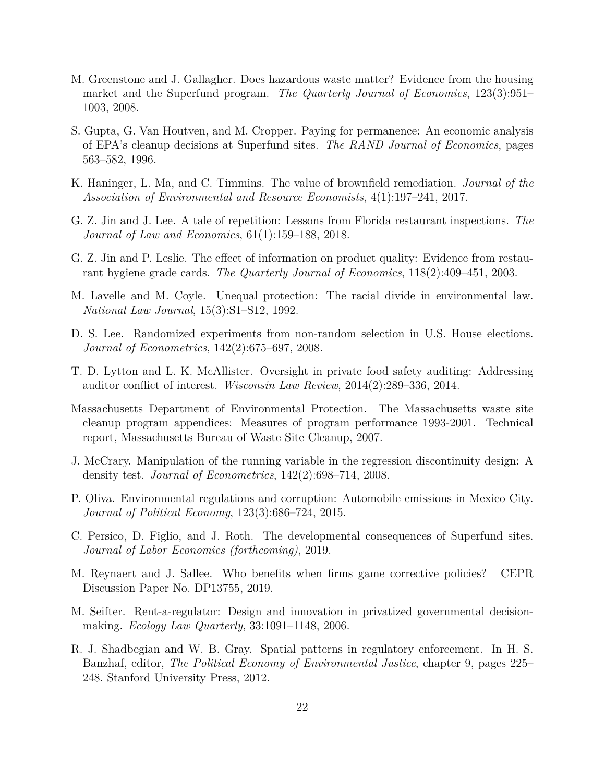- <span id="page-22-5"></span>M. Greenstone and J. Gallagher. Does hazardous waste matter? Evidence from the housing market and the Superfund program. *The Quarterly Journal of Economics*, 123(3):951– 1003, 2008.
- <span id="page-22-9"></span>S. Gupta, G. Van Houtven, and M. Cropper. Paying for permanence: An economic analysis of EPA's cleanup decisions at Superfund sites. *The RAND Journal of Economics*, pages 563–582, 1996.
- <span id="page-22-6"></span>K. Haninger, L. Ma, and C. Timmins. The value of brownfield remediation. *Journal of the Association of Environmental and Resource Economists*, 4(1):197–241, 2017.
- <span id="page-22-3"></span>G. Z. Jin and J. Lee. A tale of repetition: Lessons from Florida restaurant inspections. *The Journal of Law and Economics*, 61(1):159–188, 2018.
- <span id="page-22-2"></span>G. Z. Jin and P. Leslie. The effect of information on product quality: Evidence from restaurant hygiene grade cards. *The Quarterly Journal of Economics*, 118(2):409–451, 2003.
- <span id="page-22-8"></span>M. Lavelle and M. Coyle. Unequal protection: The racial divide in environmental law. *National Law Journal*, 15(3):S1–S12, 1992.
- <span id="page-22-11"></span>D. S. Lee. Randomized experiments from non-random selection in U.S. House elections. *Journal of Econometrics*, 142(2):675–697, 2008.
- <span id="page-22-0"></span>T. D. Lytton and L. K. McAllister. Oversight in private food safety auditing: Addressing auditor conflict of interest. *Wisconsin Law Review*, 2014(2):289–336, 2014.
- <span id="page-22-12"></span>Massachusetts Department of Environmental Protection. The Massachusetts waste site cleanup program appendices: Measures of program performance 1993-2001. Technical report, Massachusetts Bureau of Waste Site Cleanup, 2007.
- <span id="page-22-14"></span>J. McCrary. Manipulation of the running variable in the regression discontinuity design: A density test. *Journal of Econometrics*, 142(2):698–714, 2008.
- <span id="page-22-1"></span>P. Oliva. Environmental regulations and corruption: Automobile emissions in Mexico City. *Journal of Political Economy*, 123(3):686–724, 2015.
- <span id="page-22-7"></span>C. Persico, D. Figlio, and J. Roth. The developmental consequences of Superfund sites. *Journal of Labor Economics (forthcoming)*, 2019.
- <span id="page-22-4"></span>M. Reynaert and J. Sallee. Who benefits when firms game corrective policies? CEPR Discussion Paper No. DP13755, 2019.
- <span id="page-22-13"></span>M. Seifter. Rent-a-regulator: Design and innovation in privatized governmental decisionmaking. *Ecology Law Quarterly*, 33:1091–1148, 2006.
- <span id="page-22-10"></span>R. J. Shadbegian and W. B. Gray. Spatial patterns in regulatory enforcement. In H. S. Banzhaf, editor, *The Political Economy of Environmental Justice*, chapter 9, pages 225– 248. Stanford University Press, 2012.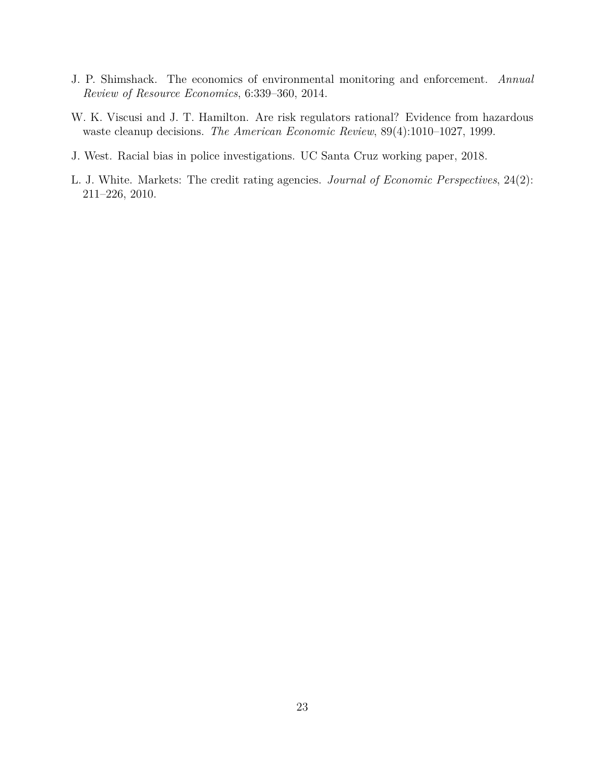- <span id="page-23-3"></span>J. P. Shimshack. The economics of environmental monitoring and enforcement. *Annual Review of Resource Economics*, 6:339–360, 2014.
- <span id="page-23-2"></span>W. K. Viscusi and J. T. Hamilton. Are risk regulators rational? Evidence from hazardous waste cleanup decisions. *The American Economic Review*, 89(4):1010–1027, 1999.
- <span id="page-23-1"></span>J. West. Racial bias in police investigations. UC Santa Cruz working paper, 2018.
- <span id="page-23-0"></span>L. J. White. Markets: The credit rating agencies. *Journal of Economic Perspectives*, 24(2): 211–226, 2010.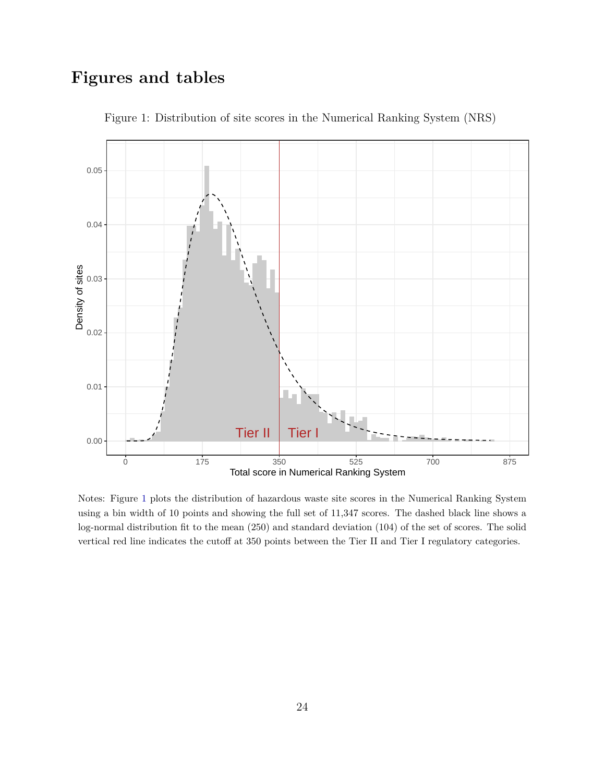## **Figures and tables**

<span id="page-24-0"></span>

Figure 1: Distribution of site scores in the Numerical Ranking System (NRS)

Notes: Figure [1](#page-24-0) plots the distribution of hazardous waste site scores in the Numerical Ranking System using a bin width of 10 points and showing the full set of 11,347 scores. The dashed black line shows a log-normal distribution fit to the mean (250) and standard deviation (104) of the set of scores. The solid vertical red line indicates the cutoff at 350 points between the Tier II and Tier I regulatory categories.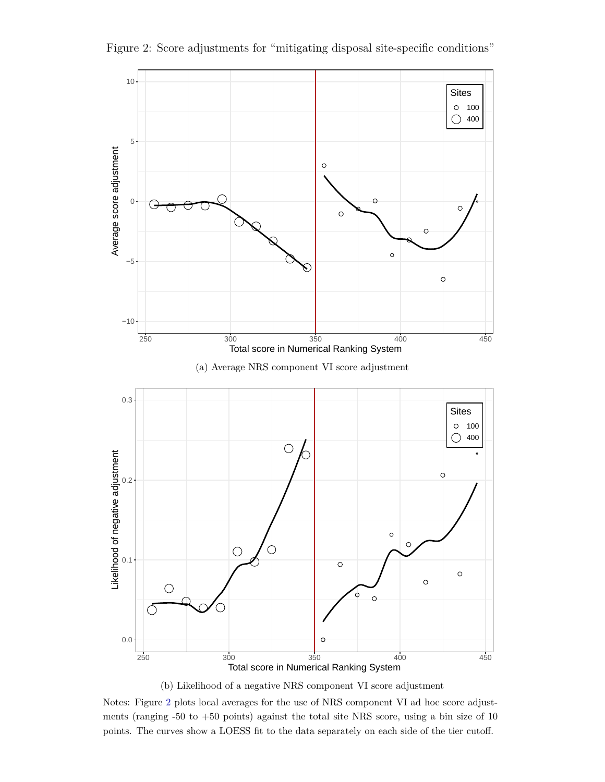<span id="page-25-0"></span>

Figure 2: Score adjustments for "mitigating disposal site-specific conditions"

(b) Likelihood of a negative NRS component VI score adjustment

Notes: Figure [2](#page-25-0) plots local averages for the use of NRS component VI ad hoc score adjustments (ranging -50 to +50 points) against the total site NRS score, using a bin size of 10 points. The curves show a LOESS fit to the data separately on each side of the tier cutoff.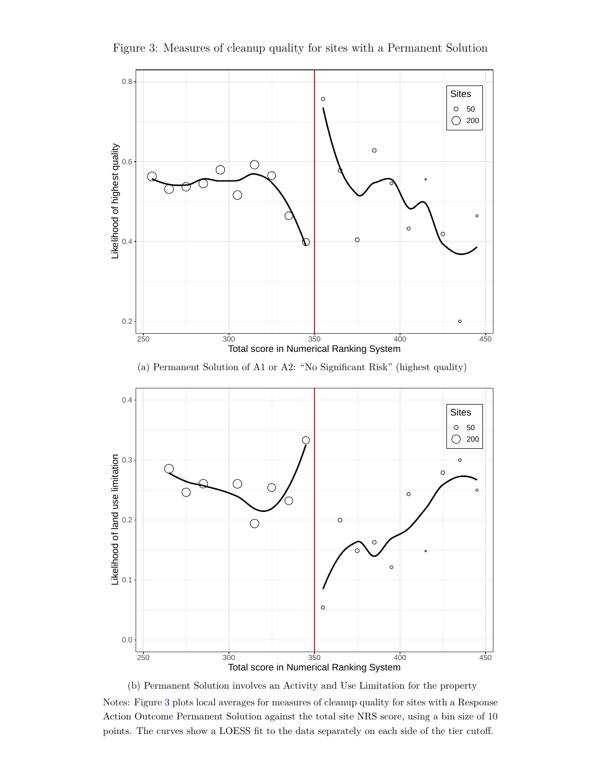<span id="page-26-0"></span>

Figure 3: Measures of cleanup quality for sites with a Permanent Solution

(b) Permanent Solution involves an Activity and Use Limitation for the property Notes: Figure [3](#page-26-0) plots local averages for measures of cleanup quality for sites with a Response Action Outcome Permanent Solution against the total site NRS score, using a bin size of 10 points. The curves show a LOESS fit to the data separately on each side of the tier cutoff.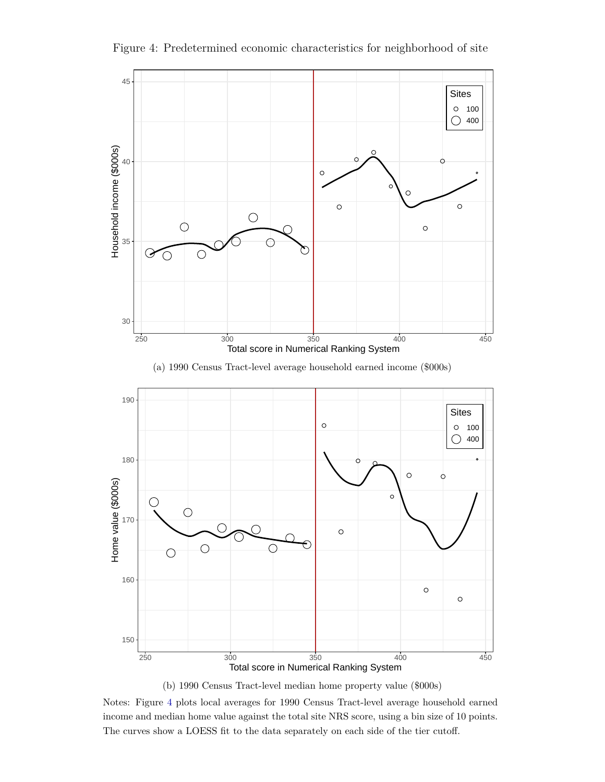Figure 4: Predetermined economic characteristics for neighborhood of site

<span id="page-27-0"></span>

(b) 1990 Census Tract-level median home property value (\$000s)

Notes: Figure [4](#page-27-0) plots local averages for 1990 Census Tract-level average household earned income and median home value against the total site NRS score, using a bin size of 10 points. The curves show a LOESS fit to the data separately on each side of the tier cutoff.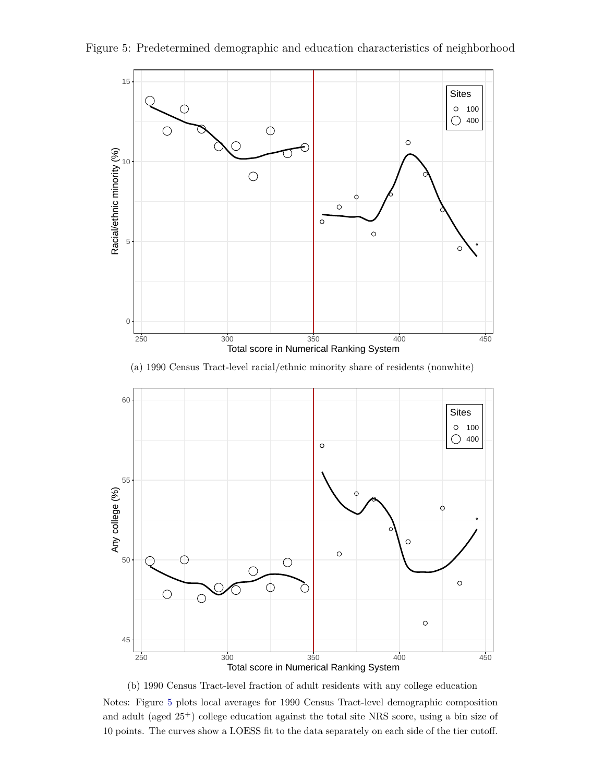

<span id="page-28-0"></span>Figure 5: Predetermined demographic and education characteristics of neighborhood





(b) 1990 Census Tract-level fraction of adult residents with any college education

Notes: Figure [5](#page-28-0) plots local averages for 1990 Census Tract-level demographic composition and adult (aged 25<sup>+</sup>) college education against the total site NRS score, using a bin size of 10 points. The curves show a LOESS fit to the data separately on each side of the tier cutoff.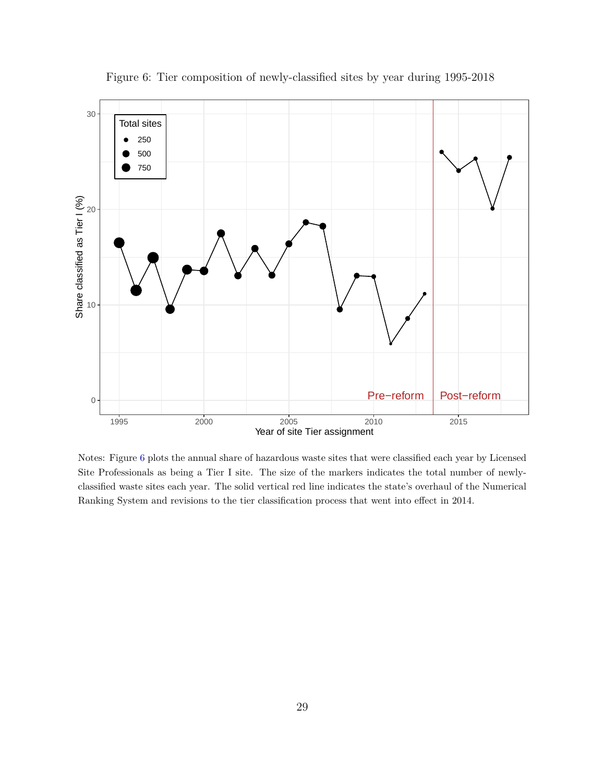<span id="page-29-0"></span>

Figure 6: Tier composition of newly-classified sites by year during 1995-2018

Notes: Figure [6](#page-29-0) plots the annual share of hazardous waste sites that were classified each year by Licensed Site Professionals as being a Tier I site. The size of the markers indicates the total number of newlyclassified waste sites each year. The solid vertical red line indicates the state's overhaul of the Numerical Ranking System and revisions to the tier classification process that went into effect in 2014.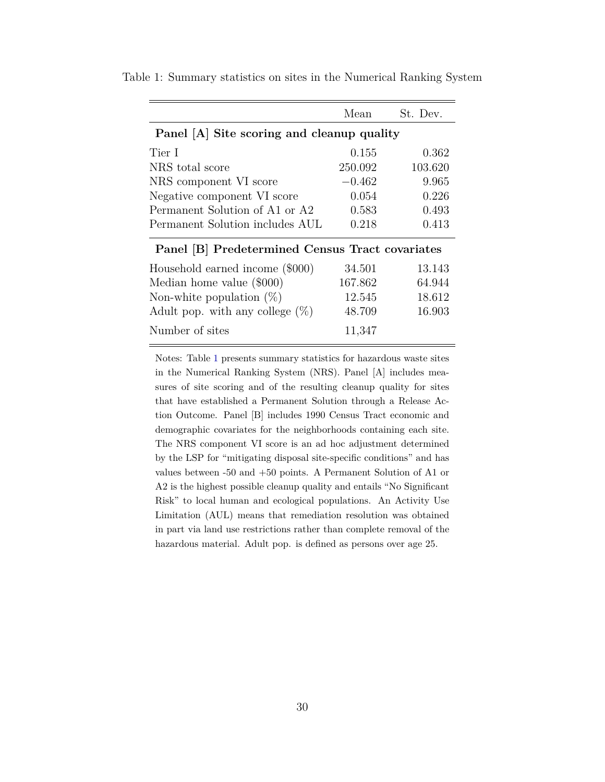|                                                 | Mean     | St. Dev. |  |  |
|-------------------------------------------------|----------|----------|--|--|
| Panel [A] Site scoring and cleanup quality      |          |          |  |  |
| Tier I                                          | 0.155    | 0.362    |  |  |
| NRS total score                                 | 250.092  | 103.620  |  |  |
| NRS component VI score                          | $-0.462$ | 9.965    |  |  |
| Negative component VI score                     | 0.054    | 0.226    |  |  |
| Permanent Solution of A1 or A2                  | 0.583    | 0.493    |  |  |
| Permanent Solution includes AUL                 | 0.218    | 0.413    |  |  |
| Panel [B] Predetermined Census Tract covariates |          |          |  |  |
| Household earned income (\$000)                 | 34.501   | 13.143   |  |  |
| Median home value (\$000)                       | 167.862  | 64.944   |  |  |
| Non-white population $(\%)$                     | 12.545   | 18.612   |  |  |
| Adult pop. with any college $(\%)$              | 48.709   | 16.903   |  |  |
| Number of sites                                 | 11,347   |          |  |  |

<span id="page-30-0"></span>Table 1: Summary statistics on sites in the Numerical Ranking System

Notes: Table [1](#page-30-0) presents summary statistics for hazardous waste sites in the Numerical Ranking System (NRS). Panel [A] includes measures of site scoring and of the resulting cleanup quality for sites that have established a Permanent Solution through a Release Action Outcome. Panel [B] includes 1990 Census Tract economic and demographic covariates for the neighborhoods containing each site. The NRS component VI score is an ad hoc adjustment determined by the LSP for "mitigating disposal site-specific conditions" and has values between -50 and +50 points. A Permanent Solution of A1 or A2 is the highest possible cleanup quality and entails "No Significant Risk" to local human and ecological populations. An Activity Use Limitation (AUL) means that remediation resolution was obtained in part via land use restrictions rather than complete removal of the hazardous material. Adult pop. is defined as persons over age 25.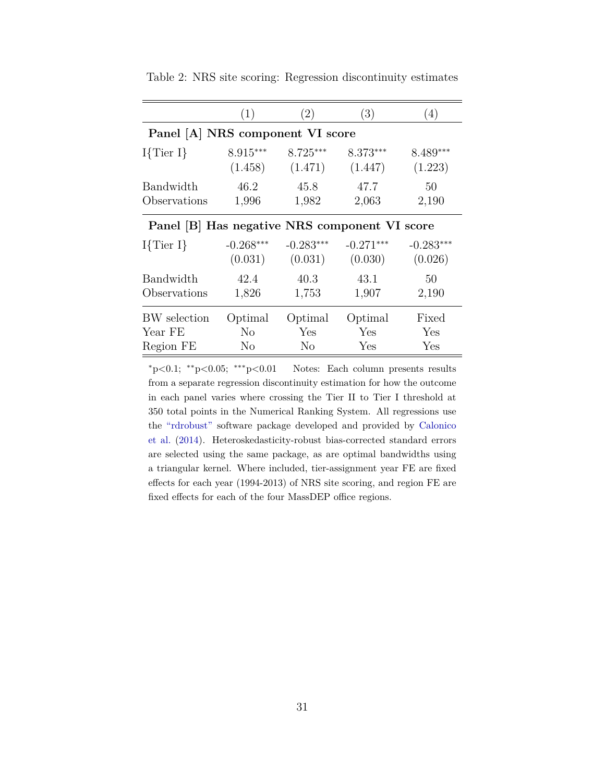|                                               | (1)            | (2)            | (3)         | (4)         |  |
|-----------------------------------------------|----------------|----------------|-------------|-------------|--|
| Panel [A] NRS component VI score              |                |                |             |             |  |
| $I\{\text{Tier }I\}$                          | $8.915***$     | $8.725***$     | $8.373***$  | $8.489***$  |  |
|                                               | (1.458)        | (1.471)        | (1.447)     | (1.223)     |  |
| Bandwidth                                     | 46.2           | 45.8           | 47.7        | 50          |  |
| Observations                                  | 1,996          | 1,982          | 2,063       | 2,190       |  |
| Panel [B] Has negative NRS component VI score |                |                |             |             |  |
| $I\{Tier I\}$                                 | $-0.268***$    | $-0.283***$    | $-0.271***$ | $-0.283***$ |  |
|                                               | (0.031)        | (0.031)        | (0.030)     | (0.026)     |  |
| Bandwidth                                     | 42.4           | 40.3           | 43.1        | 50          |  |
| Observations                                  | 1,826          | 1,753          | 1,907       | 2,190       |  |
| BW selection                                  | Optimal        | Optimal        | Optimal     | Fixed       |  |
| Year FE                                       | N <sub>o</sub> | Yes            | Yes         | Yes         |  |
| Region FE                                     | N <sub>o</sub> | N <sub>0</sub> | Yes         | Yes         |  |

<span id="page-31-0"></span>Table 2: NRS site scoring: Regression discontinuity estimates

<sup>∗</sup>p*<*0.1; ∗∗p*<*0.05; ∗∗∗p*<*0.01 Notes: Each column presents results from a separate regression discontinuity estimation for how the outcome in each panel varies where crossing the Tier II to Tier I threshold at 350 total points in the Numerical Ranking System. All regressions use the ["rdrobust"](https://sites.google.com/site/rdpackages/rdrobust) software package developed and provided by [Calonico](#page-20-4) [et al.](#page-20-4) [\(2014\)](#page-20-4). Heteroskedasticity-robust bias-corrected standard errors are selected using the same package, as are optimal bandwidths using a triangular kernel. Where included, tier-assignment year FE are fixed effects for each year (1994-2013) of NRS site scoring, and region FE are fixed effects for each of the four MassDEP office regions.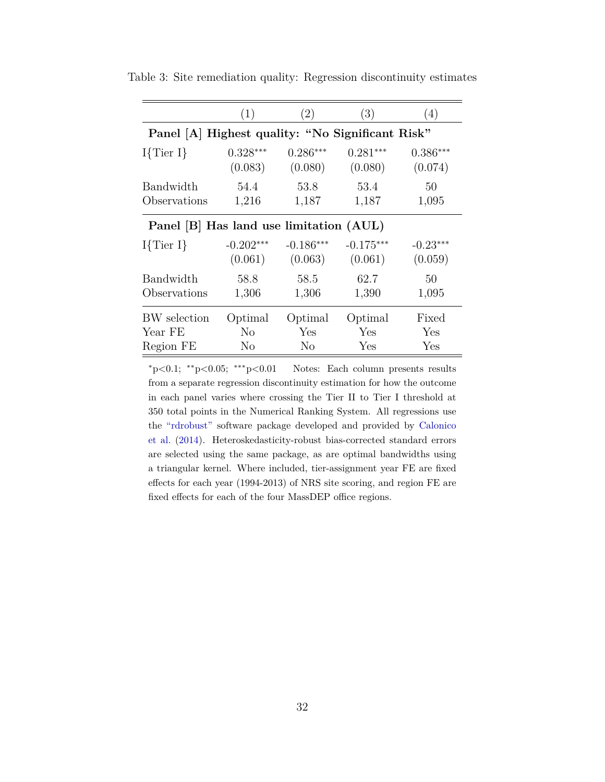|                                                  | (1)            | (2)            | (3)         | (4)        |
|--------------------------------------------------|----------------|----------------|-------------|------------|
| Panel [A] Highest quality: "No Significant Risk" |                |                |             |            |
| $I\{Tier I\}$                                    | $0.328***$     | $0.286***$     | $0.281***$  | $0.386***$ |
|                                                  | (0.083)        | (0.080)        | (0.080)     | (0.074)    |
| Bandwidth                                        | 54.4           | 53.8           | 53.4        | 50         |
| Observations                                     | 1,216          | 1,187          | 1,187       | 1,095      |
| Panel [B] Has land use limitation (AUL)          |                |                |             |            |
| $I\{\text{Tier }I\}$                             | $-0.202***$    | $-0.186***$    | $-0.175***$ | $-0.23***$ |
|                                                  | (0.061)        | (0.063)        | (0.061)     | (0.059)    |
| Bandwidth                                        | 58.8           | 58.5           | 62.7        | 50         |
| Observations                                     | 1,306          | 1,306          | 1,390       | 1,095      |
| BW selection                                     | Optimal        | Optimal        | Optimal     | Fixed      |
| Year FE                                          | N <sub>o</sub> | Yes            | Yes         | Yes        |
| Region FE                                        | N <sub>o</sub> | N <sub>o</sub> | Yes         | Yes        |

<span id="page-32-0"></span>Table 3: Site remediation quality: Regression discontinuity estimates

<sup>∗</sup>p*<*0.1; ∗∗p*<*0.05; ∗∗∗p*<*0.01 Notes: Each column presents results from a separate regression discontinuity estimation for how the outcome in each panel varies where crossing the Tier II to Tier I threshold at 350 total points in the Numerical Ranking System. All regressions use the ["rdrobust"](https://sites.google.com/site/rdpackages/rdrobust) software package developed and provided by [Calonico](#page-20-4) [et al.](#page-20-4) [\(2014\)](#page-20-4). Heteroskedasticity-robust bias-corrected standard errors are selected using the same package, as are optimal bandwidths using a triangular kernel. Where included, tier-assignment year FE are fixed effects for each year (1994-2013) of NRS site scoring, and region FE are fixed effects for each of the four MassDEP office regions.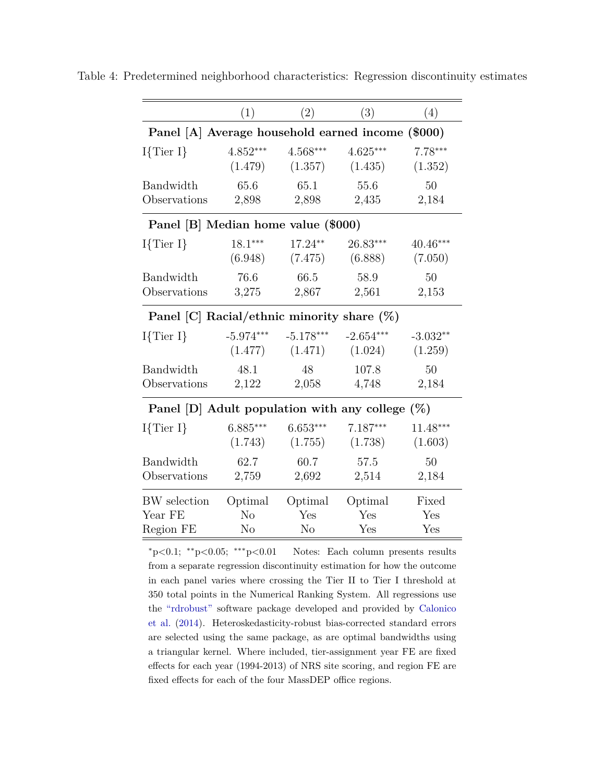|                                                    | (1)            | (2)            | (3)         | (4)        |
|----------------------------------------------------|----------------|----------------|-------------|------------|
| Panel [A] Average household earned income (\$000)  |                |                |             |            |
| $I\{Tier I\}$                                      | $4.852***$     | $4.568***$     | $4.625***$  | $7.78***$  |
|                                                    | (1.479)        | (1.357)        | (1.435)     | (1.352)    |
| Bandwidth                                          | 65.6           | 65.1           | 55.6        | 50         |
| Observations                                       | 2,898          | 2,898          | 2,435       | 2,184      |
| Panel [B] Median home value (\$000)                |                |                |             |            |
| $I\{\text{Tier }I\}$                               | $18.1***$      | 17.24**        | $26.83***$  | $40.46***$ |
|                                                    | (6.948)        | (7.475)        | (6.888)     | (7.050)    |
| Bandwidth                                          | 76.6           | 66.5           | 58.9        | 50         |
| Observations                                       | 3,275          | 2,867          | 2,561       | 2,153      |
| Panel [C] Racial/ethnic minority share $(\%)$      |                |                |             |            |
| $I\{Tier I\}$                                      | $-5.974***$    | $-5.178***$    | $-2.654***$ | $-3.032**$ |
|                                                    | (1.477)        | (1.471)        | (1.024)     | (1.259)    |
| Bandwidth                                          | 48.1           | 48             | 107.8       | 50         |
| Observations                                       | 2,122          | 2,058          | 4,748       | 2,184      |
| Panel [D] Adult population with any college $(\%)$ |                |                |             |            |
| $I\{Tier I\}$                                      | $6.885***$     | $6.653***$     | $7.187***$  | $11.48***$ |
|                                                    | (1.743)        | (1.755)        | (1.738)     | (1.603)    |
| Bandwidth                                          | 62.7           | 60.7           | 57.5        | 50         |
| Observations                                       | 2,759          | 2,692          | 2,514       | 2,184      |
| <b>BW</b> selection                                | Optimal        | Optimal        | Optimal     | Fixed      |
| Year FE                                            | N <sub>o</sub> | Yes            | Yes         | Yes        |
| Region FE                                          | No             | N <sub>o</sub> | Yes         | Yes        |

<span id="page-33-0"></span>Table 4: Predetermined neighborhood characteristics: Regression discontinuity estimates

<sup>∗</sup>p*<*0.1; ∗∗p*<*0.05; ∗∗∗p*<*0.01 Notes: Each column presents results from a separate regression discontinuity estimation for how the outcome in each panel varies where crossing the Tier II to Tier I threshold at 350 total points in the Numerical Ranking System. All regressions use the ["rdrobust"](https://sites.google.com/site/rdpackages/rdrobust) software package developed and provided by [Calonico](#page-20-4) [et al.](#page-20-4) [\(2014\)](#page-20-4). Heteroskedasticity-robust bias-corrected standard errors are selected using the same package, as are optimal bandwidths using a triangular kernel. Where included, tier-assignment year FE are fixed effects for each year (1994-2013) of NRS site scoring, and region FE are fixed effects for each of the four MassDEP office regions.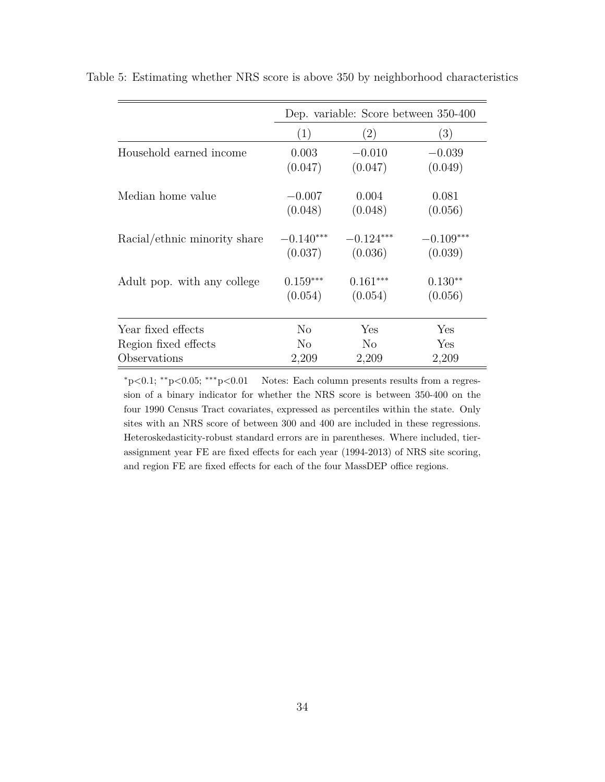|                              | Dep. variable: Score between 350-400 |                |             |
|------------------------------|--------------------------------------|----------------|-------------|
|                              | (1)                                  | (2)            | (3)         |
| Household earned income      | 0.003                                | $-0.010$       | $-0.039$    |
|                              | (0.047)                              | (0.047)        | (0.049)     |
| Median home value            | $-0.007$                             | 0.004          | 0.081       |
|                              | (0.048)                              | (0.048)        | (0.056)     |
| Racial/ethnic minority share | $-0.140***$                          | $-0.124***$    | $-0.109***$ |
|                              | (0.037)                              | (0.036)        | (0.039)     |
| Adult pop. with any college  | $0.159***$                           | $0.161***$     | $0.130**$   |
|                              | (0.054)                              | (0.054)        | (0.056)     |
| Year fixed effects           | No.                                  | Yes            | Yes         |
| Region fixed effects         | No.                                  | N <sub>o</sub> | Yes         |
| Observations                 | 2,209                                | 2,209          | 2,209       |

<span id="page-34-0"></span>Table 5: Estimating whether NRS score is above 350 by neighborhood characteristics

<sup>∗</sup>p*<*0.1; ∗∗p*<*0.05; ∗∗∗p*<*0.01 Notes: Each column presents results from a regression of a binary indicator for whether the NRS score is between 350-400 on the four 1990 Census Tract covariates, expressed as percentiles within the state. Only sites with an NRS score of between 300 and 400 are included in these regressions. Heteroskedasticity-robust standard errors are in parentheses. Where included, tierassignment year FE are fixed effects for each year (1994-2013) of NRS site scoring, and region FE are fixed effects for each of the four MassDEP office regions.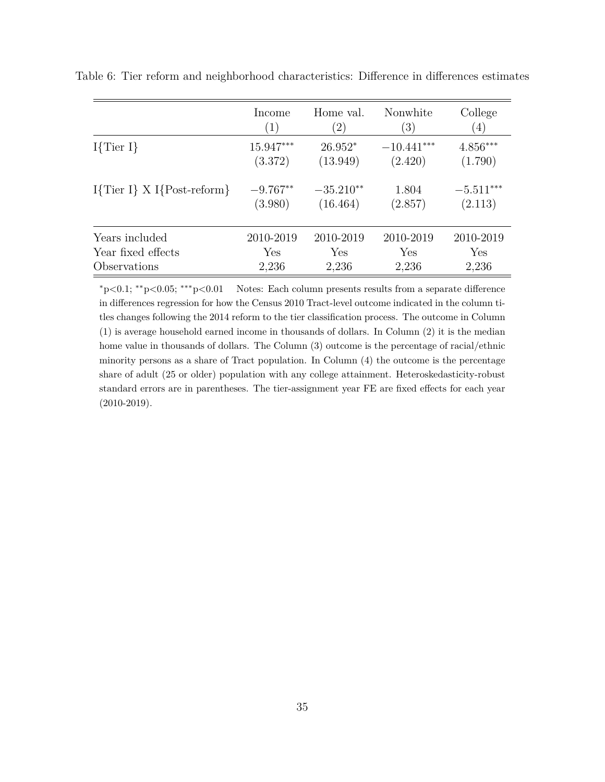|                              | Income     | Home val.         | Nonwhite         | College     |
|------------------------------|------------|-------------------|------------------|-------------|
|                              | (1)        | $\left( 2\right)$ | $\left(3\right)$ | (4)         |
| $I\{\text{Tier }I\}$         | 15.947***  | $26.952*$         | $-10.441***$     | $4.856***$  |
|                              | (3.372)    | (13.949)          | (2.420)          | (1.790)     |
| $I{Tier I} X I{Post-reform}$ | $-9.767**$ | $-35.210**$       | 1.804            | $-5.511***$ |
|                              | (3.980)    | (16.464)          | (2.857)          | (2.113)     |
| Years included               | 2010-2019  | 2010-2019         | 2010-2019        | 2010-2019   |
| Year fixed effects           | Yes        | Yes               | Yes              | Yes         |
| Observations                 | 2,236      | 2,236             | 2,236            | 2,236       |

<span id="page-35-0"></span>Table 6: Tier reform and neighborhood characteristics: Difference in differences estimates

<sup>∗</sup>p*<*0.1; ∗∗p*<*0.05; ∗∗∗p*<*0.01 Notes: Each column presents results from a separate difference in differences regression for how the Census 2010 Tract-level outcome indicated in the column titles changes following the 2014 reform to the tier classification process. The outcome in Column (1) is average household earned income in thousands of dollars. In Column (2) it is the median home value in thousands of dollars. The Column (3) outcome is the percentage of racial/ethnic minority persons as a share of Tract population. In Column (4) the outcome is the percentage share of adult (25 or older) population with any college attainment. Heteroskedasticity-robust standard errors are in parentheses. The tier-assignment year FE are fixed effects for each year (2010-2019).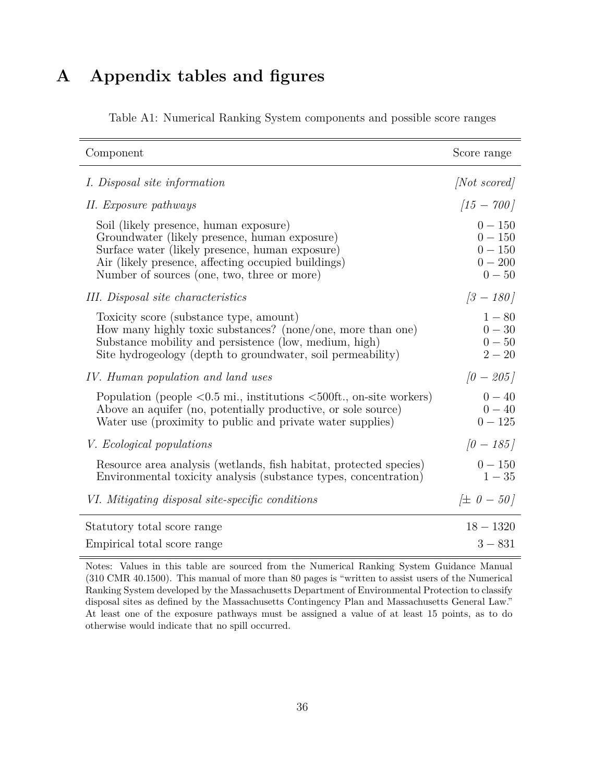## <span id="page-36-0"></span>**A Appendix tables and figures**

| Component                                                                                                                                                                                                                                                | Score range                                                  |
|----------------------------------------------------------------------------------------------------------------------------------------------------------------------------------------------------------------------------------------------------------|--------------------------------------------------------------|
| <i>I. Disposal site information</i>                                                                                                                                                                                                                      | <i>Not scored</i>                                            |
| II. Exposure pathways                                                                                                                                                                                                                                    | $\left[15 - 700\right]$                                      |
| Soil (likely presence, human exposure)<br>Groundwater (likely presence, human exposure)<br>Surface water (likely presence, human exposure)<br>Air (likely presence, affecting occupied buildings)<br>Number of sources (one, two, three or more)         | $0 - 150$<br>$0 - 150$<br>$0 - 150$<br>$0 - 200$<br>$0 - 50$ |
| III. Disposal site characteristics                                                                                                                                                                                                                       | $[3 - 180]$                                                  |
| Toxicity score (substance type, amount)<br>How many highly toxic substances? (none/one, more than one)<br>Substance mobility and persistence (low, medium, high)<br>Site hydrogeology (depth to groundwater, soil permeability)                          | $1 - 80$<br>$0 - 30$<br>$0 - 50$<br>$2 - 20$                 |
| IV. Human population and land uses                                                                                                                                                                                                                       | $[0 - 205]$                                                  |
| Population (people $\langle 0.5 \text{ mi.}, \text{institutions } \langle 500 \text{ft.}, \text{on-site workers} \rangle$<br>Above an aquifer (no, potentially productive, or sole source)<br>Water use (proximity to public and private water supplies) | $0 - 40$<br>$0 - 40$<br>$0 - 125$                            |
| <i>V.</i> Ecological populations                                                                                                                                                                                                                         | $[0 - 185]$                                                  |
| Resource area analysis (wetlands, fish habitat, protected species)<br>Environmental toxicity analysis (substance types, concentration)                                                                                                                   | $0 - 150$<br>$1 - 35$                                        |
| VI. Mitigating disposal site-specific conditions                                                                                                                                                                                                         | $\# 0 - 50$                                                  |
| Statutory total score range                                                                                                                                                                                                                              | $18 - 1320$                                                  |
| Empirical total score range                                                                                                                                                                                                                              | $3 - 831$                                                    |

Table A1: Numerical Ranking System components and possible score ranges

Notes: Values in this table are sourced from the Numerical Ranking System Guidance Manual (310 CMR 40.1500). This manual of more than 80 pages is "written to assist users of the Numerical Ranking System developed by the Massachusetts Department of Environmental Protection to classify disposal sites as defined by the Massachusetts Contingency Plan and Massachusetts General Law." At least one of the exposure pathways must be assigned a value of at least 15 points, as to do otherwise would indicate that no spill occurred.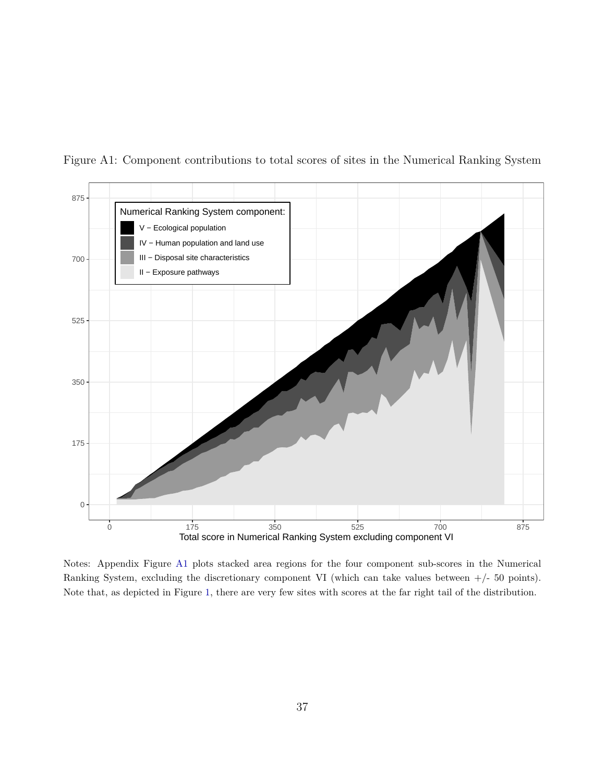

<span id="page-37-0"></span>Figure A1: Component contributions to total scores of sites in the Numerical Ranking System

Notes: Appendix Figure [A1](#page-37-0) plots stacked area regions for the four component sub-scores in the Numerical Ranking System, excluding the discretionary component VI (which can take values between  $+/- 50$  points). Note that, as depicted in Figure [1,](#page-24-0) there are very few sites with scores at the far right tail of the distribution.